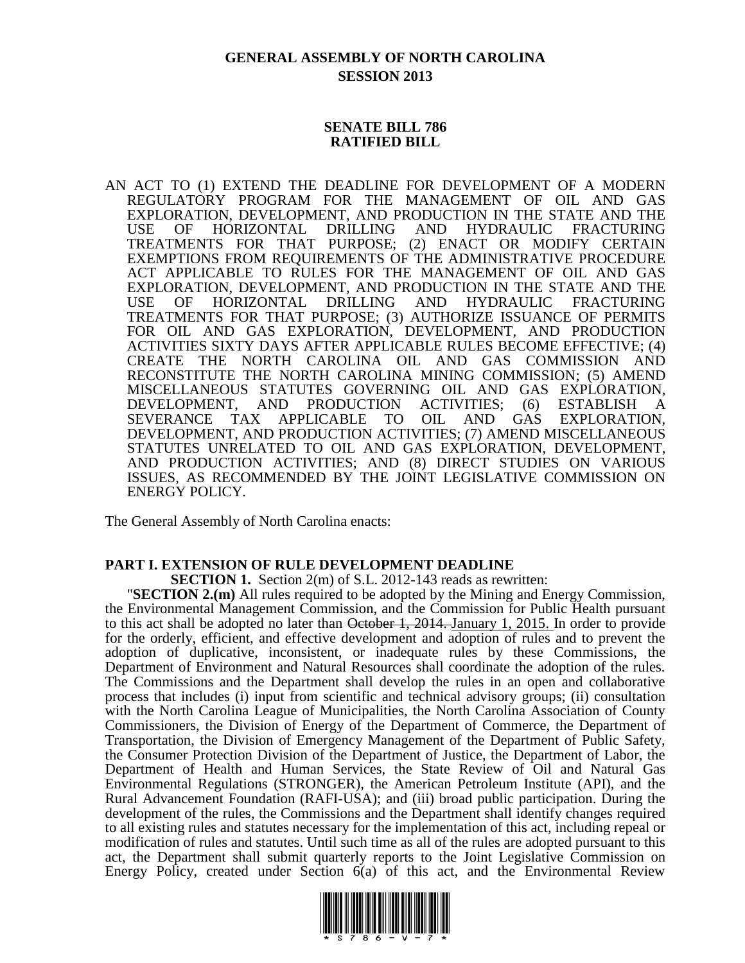# **GENERAL ASSEMBLY OF NORTH CAROLINA SESSION 2013**

#### **SENATE BILL 786 RATIFIED BILL**

AN ACT TO (1) EXTEND THE DEADLINE FOR DEVELOPMENT OF A MODERN REGULATORY PROGRAM FOR THE MANAGEMENT OF OIL AND GAS EXPLORATION, DEVELOPMENT, AND PRODUCTION IN THE STATE AND THE USE OF HORIZONTAL DRILLING AND HYDRAULIC FRACTURING TREATMENTS FOR THAT PURPOSE; (2) ENACT OR MODIFY CERTAIN EXEMPTIONS FROM REQUIREMENTS OF THE ADMINISTRATIVE PROCEDURE ACT APPLICABLE TO RULES FOR THE MANAGEMENT OF OIL AND GAS EXPLORATION, DEVELOPMENT, AND PRODUCTION IN THE STATE AND THE USE OF HORIZONTAL DRILLING AND HYDRAULIC FRACTURING TREATMENTS FOR THAT PURPOSE; (3) AUTHORIZE ISSUANCE OF PERMITS FOR OIL AND GAS EXPLORATION, DEVELOPMENT, AND PRODUCTION ACTIVITIES SIXTY DAYS AFTER APPLICABLE RULES BECOME EFFECTIVE; (4) CREATE THE NORTH CAROLINA OIL AND GAS COMMISSION AND RECONSTITUTE THE NORTH CAROLINA MINING COMMISSION; (5) AMEND MISCELLANEOUS STATUTES GOVERNING OIL AND GAS EXPLORATION, DEVELOPMENT, AND PRODUCTION ACTIVITIES; (6) ESTABLISH A SEVERANCE TAX APPLICABLE TO OIL AND GAS EXPLORATION, DEVELOPMENT, AND PRODUCTION ACTIVITIES; (7) AMEND MISCELLANEOUS STATUTES UNRELATED TO OIL AND GAS EXPLORATION, DEVELOPMENT, AND PRODUCTION ACTIVITIES; AND (8) DIRECT STUDIES ON VARIOUS ISSUES, AS RECOMMENDED BY THE JOINT LEGISLATIVE COMMISSION ON ENERGY POLICY.

The General Assembly of North Carolina enacts:

#### **PART I. EXTENSION OF RULE DEVELOPMENT DEADLINE**

**SECTION 1.** Section 2(m) of S.L. 2012-143 reads as rewritten:

"**SECTION 2.(m)** All rules required to be adopted by the Mining and Energy Commission, the Environmental Management Commission, and the Commission for Public Health pursuant to this act shall be adopted no later than October 1, 2014. January 1, 2015. In order to provide for the orderly, efficient, and effective development and adoption of rules and to prevent the adoption of duplicative, inconsistent, or inadequate rules by these Commissions, the Department of Environment and Natural Resources shall coordinate the adoption of the rules. The Commissions and the Department shall develop the rules in an open and collaborative process that includes (i) input from scientific and technical advisory groups; (ii) consultation with the North Carolina League of Municipalities, the North Carolina Association of County Commissioners, the Division of Energy of the Department of Commerce, the Department of Transportation, the Division of Emergency Management of the Department of Public Safety, the Consumer Protection Division of the Department of Justice, the Department of Labor, the Department of Health and Human Services, the State Review of Oil and Natural Gas Environmental Regulations (STRONGER), the American Petroleum Institute (API), and the Rural Advancement Foundation (RAFI-USA); and (iii) broad public participation. During the development of the rules, the Commissions and the Department shall identify changes required to all existing rules and statutes necessary for the implementation of this act, including repeal or modification of rules and statutes. Until such time as all of the rules are adopted pursuant to this act, the Department shall submit quarterly reports to the Joint Legislative Commission on Energy Policy, created under Section 6(a) of this act, and the Environmental Review

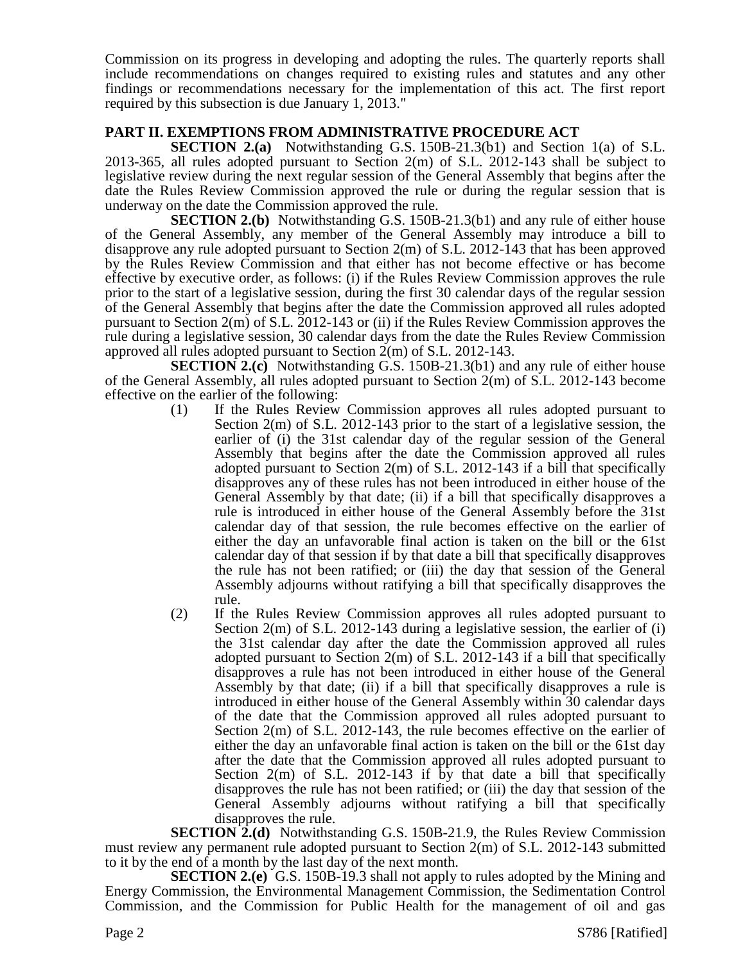Commission on its progress in developing and adopting the rules. The quarterly reports shall include recommendations on changes required to existing rules and statutes and any other findings or recommendations necessary for the implementation of this act. The first report required by this subsection is due January 1, 2013."

# **PART II. EXEMPTIONS FROM ADMINISTRATIVE PROCEDURE ACT**

**SECTION 2.(a)** Notwithstanding G.S. 150B-21.3(b1) and Section 1(a) of S.L. 2013-365, all rules adopted pursuant to Section 2(m) of S.L. 2012-143 shall be subject to legislative review during the next regular session of the General Assembly that begins after the date the Rules Review Commission approved the rule or during the regular session that is underway on the date the Commission approved the rule.

**SECTION 2.(b)** Notwithstanding G.S. 150B-21.3(b1) and any rule of either house of the General Assembly, any member of the General Assembly may introduce a bill to disapprove any rule adopted pursuant to Section 2(m) of S.L. 2012-143 that has been approved by the Rules Review Commission and that either has not become effective or has become effective by executive order, as follows: (i) if the Rules Review Commission approves the rule prior to the start of a legislative session, during the first 30 calendar days of the regular session of the General Assembly that begins after the date the Commission approved all rules adopted pursuant to Section 2(m) of S.L. 2012-143 or (ii) if the Rules Review Commission approves the rule during a legislative session, 30 calendar days from the date the Rules Review Commission approved all rules adopted pursuant to Section 2(m) of S.L. 2012-143.

**SECTION 2.(c)** Notwithstanding G.S. 150B-21.3(b1) and any rule of either house of the General Assembly, all rules adopted pursuant to Section 2(m) of S.L. 2012-143 become effective on the earlier of the following:

- (1) If the Rules Review Commission approves all rules adopted pursuant to Section 2(m) of S.L. 2012-143 prior to the start of a legislative session, the earlier of (i) the 31st calendar day of the regular session of the General Assembly that begins after the date the Commission approved all rules adopted pursuant to Section 2(m) of S.L. 2012-143 if a bill that specifically disapproves any of these rules has not been introduced in either house of the General Assembly by that date; (ii) if a bill that specifically disapproves a rule is introduced in either house of the General Assembly before the 31st calendar day of that session, the rule becomes effective on the earlier of either the day an unfavorable final action is taken on the bill or the 61st calendar day of that session if by that date a bill that specifically disapproves the rule has not been ratified; or (iii) the day that session of the General Assembly adjourns without ratifying a bill that specifically disapproves the rule.
- (2) If the Rules Review Commission approves all rules adopted pursuant to Section 2(m) of S.L. 2012-143 during a legislative session, the earlier of (i) the 31st calendar day after the date the Commission approved all rules adopted pursuant to Section  $2(m)$  of S.L. 2012-143 if a bill that specifically disapproves a rule has not been introduced in either house of the General Assembly by that date; (ii) if a bill that specifically disapproves a rule is introduced in either house of the General Assembly within 30 calendar days of the date that the Commission approved all rules adopted pursuant to Section 2(m) of S.L. 2012-143, the rule becomes effective on the earlier of either the day an unfavorable final action is taken on the bill or the 61st day after the date that the Commission approved all rules adopted pursuant to Section 2(m) of S.L. 2012-143 if by that date a bill that specifically disapproves the rule has not been ratified; or (iii) the day that session of the General Assembly adjourns without ratifying a bill that specifically disapproves the rule.

**SECTION 2.(d)** Notwithstanding G.S. 150B-21.9, the Rules Review Commission must review any permanent rule adopted pursuant to Section 2(m) of S.L. 2012-143 submitted to it by the end of a month by the last day of the next month.

**SECTION 2.(e)** G.S. 150B-19.3 shall not apply to rules adopted by the Mining and Energy Commission, the Environmental Management Commission, the Sedimentation Control Commission, and the Commission for Public Health for the management of oil and gas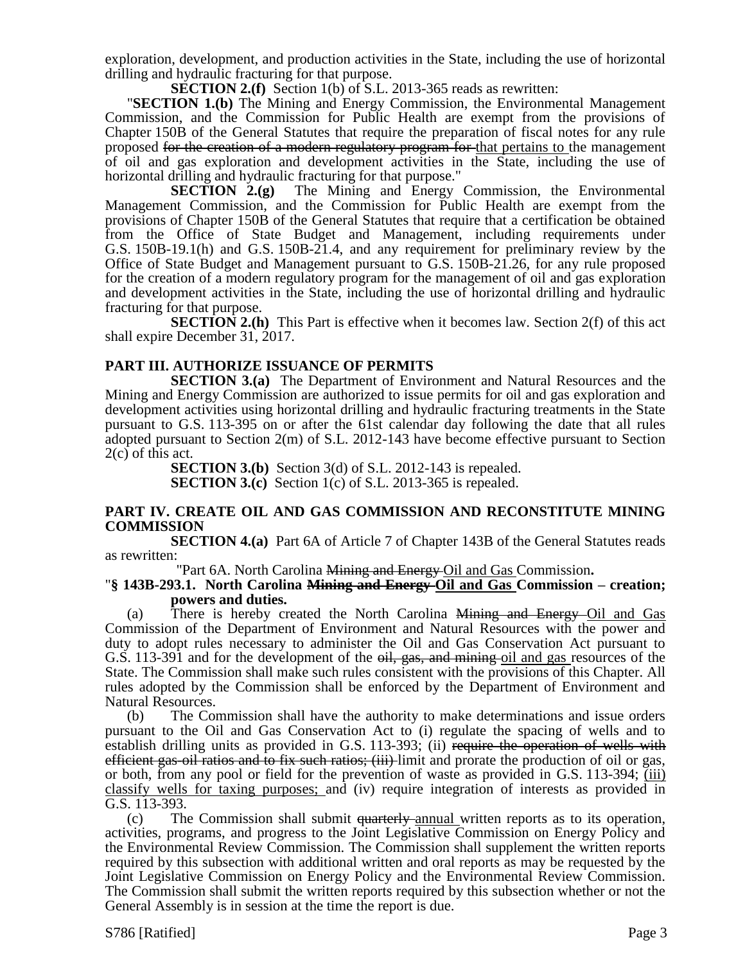exploration, development, and production activities in the State, including the use of horizontal drilling and hydraulic fracturing for that purpose.

**SECTION 2.(f)** Section 1(b) of S.L. 2013-365 reads as rewritten:

"**SECTION 1.(b)** The Mining and Energy Commission, the Environmental Management Commission, and the Commission for Public Health are exempt from the provisions of Chapter 150B of the General Statutes that require the preparation of fiscal notes for any rule proposed for the creation of a modern regulatory program for that pertains to the management of oil and gas exploration and development activities in the State, including the use of horizontal drilling and hydraulic fracturing for that purpose."

**SECTION 2.(g)** The Mining and Energy Commission, the Environmental Management Commission, and the Commission for Public Health are exempt from the provisions of Chapter 150B of the General Statutes that require that a certification be obtained from the Office of State Budget and Management, including requirements under G.S. 150B-19.1(h) and G.S. 150B-21.4, and any requirement for preliminary review by the Office of State Budget and Management pursuant to G.S. 150B-21.26, for any rule proposed for the creation of a modern regulatory program for the management of oil and gas exploration and development activities in the State, including the use of horizontal drilling and hydraulic fracturing for that purpose.

**SECTION 2.(h)** This Part is effective when it becomes law. Section 2(f) of this act shall expire December 31, 2017.

#### **PART III. AUTHORIZE ISSUANCE OF PERMITS**

**SECTION 3.(a)** The Department of Environment and Natural Resources and the Mining and Energy Commission are authorized to issue permits for oil and gas exploration and development activities using horizontal drilling and hydraulic fracturing treatments in the State pursuant to G.S. 113-395 on or after the 61st calendar day following the date that all rules adopted pursuant to Section 2(m) of S.L. 2012-143 have become effective pursuant to Section 2(c) of this act.

> **SECTION 3.(b)** Section 3(d) of S.L. 2012-143 is repealed. **SECTION 3.(c)** Section 1(c) of S.L. 2013-365 is repealed.

#### **PART IV. CREATE OIL AND GAS COMMISSION AND RECONSTITUTE MINING COMMISSION**

**SECTION 4.(a)** Part 6A of Article 7 of Chapter 143B of the General Statutes reads as rewritten:

"Part 6A. North Carolina Mining and Energy Oil and Gas Commission**.**

#### "**§ 143B-293.1. North Carolina Mining and Energy Oil and Gas Commission – creation; powers and duties.**

(a) There is hereby created the North Carolina Mining and Energy Oil and Gas Commission of the Department of Environment and Natural Resources with the power and duty to adopt rules necessary to administer the Oil and Gas Conservation Act pursuant to G.S. 113-391 and for the development of the oil, gas, and mining oil and gas resources of the State. The Commission shall make such rules consistent with the provisions of this Chapter. All rules adopted by the Commission shall be enforced by the Department of Environment and Natural Resources.

(b) The Commission shall have the authority to make determinations and issue orders pursuant to the Oil and Gas Conservation Act to (i) regulate the spacing of wells and to establish drilling units as provided in G.S. 113-393; (ii) require the operation of wells with efficient gas-oil ratios and to fix such ratios; (iii) limit and prorate the production of oil or gas, or both, from any pool or field for the prevention of waste as provided in G.S. 113-394; (iii) classify wells for taxing purposes; and (iv) require integration of interests as provided in G.S. 113-393.

(c) The Commission shall submit <del>quarterly annual</del> written reports as to its operation, activities, programs, and progress to the Joint Legislative Commission on Energy Policy and the Environmental Review Commission. The Commission shall supplement the written reports required by this subsection with additional written and oral reports as may be requested by the Joint Legislative Commission on Energy Policy and the Environmental Review Commission. The Commission shall submit the written reports required by this subsection whether or not the General Assembly is in session at the time the report is due.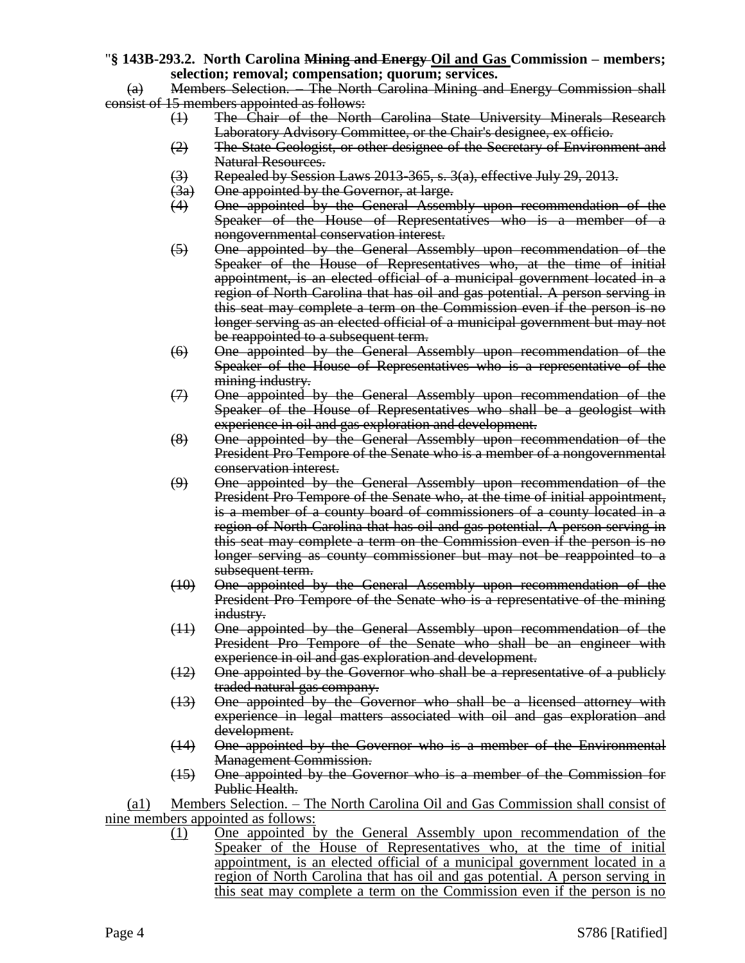#### "**§ 143B-293.2. North Carolina Mining and Energy Oil and Gas Commission – members; selection; removal; compensation; quorum; services.**

(a) Members Selection. – The North Carolina Mining and Energy Commission shall consist of 15 members appointed as follows:

- (1) The Chair of the North Carolina State University Minerals Research Laboratory Advisory Committee, or the Chair's designee, ex officio.
- (2) The State Geologist, or other designee of the Secretary of Environment and Natural Resources.
- $(3)$  Repealed by Session Laws 2013-365, s. 3(a), effective July 29, 2013.
- (3a) One appointed by the Governor, at large.
- (4) One appointed by the General Assembly upon recommendation of the Speaker of the House of Representatives who is a member of a nongovernmental conservation interest.
- (5) One appointed by the General Assembly upon recommendation of the Speaker of the House of Representatives who, at the time of initial appointment, is an elected official of a municipal government located in a region of North Carolina that has oil and gas potential. A person serving in this seat may complete a term on the Commission even if the person is no longer serving as an elected official of a municipal government but may not be reappointed to a subsequent term.
- (6) One appointed by the General Assembly upon recommendation of the Speaker of the House of Representatives who is a representative of the mining industry.
- (7) One appointed by the General Assembly upon recommendation of the Speaker of the House of Representatives who shall be a geologist with experience in oil and gas exploration and development.
- (8) One appointed by the General Assembly upon recommendation of the President Pro Tempore of the Senate who is a member of a nongovernmental conservation interest.
- (9) One appointed by the General Assembly upon recommendation of the President Pro Tempore of the Senate who, at the time of initial appointment, is a member of a county board of commissioners of a county located in a region of North Carolina that has oil and gas potential. A person serving in this seat may complete a term on the Commission even if the person is no longer serving as county commissioner but may not be reappointed to a subsequent term.
- (10) One appointed by the General Assembly upon recommendation of the President Pro Tempore of the Senate who is a representative of the mining industry.
- (11) One appointed by the General Assembly upon recommendation of the President Pro Tempore of the Senate who shall be an engineer with experience in oil and gas exploration and development.
- (12) One appointed by the Governor who shall be a representative of a publicly traded natural gas company.
- (13) One appointed by the Governor who shall be a licensed attorney with experience in legal matters associated with oil and gas exploration and development.
- (14) One appointed by the Governor who is a member of the Environmental Management Commission.
- (15) One appointed by the Governor who is a member of the Commission for Public Health.

(a1) Members Selection. – The North Carolina Oil and Gas Commission shall consist of nine members appointed as follows:

(1) One appointed by the General Assembly upon recommendation of the Speaker of the House of Representatives who, at the time of initial appointment, is an elected official of a municipal government located in a region of North Carolina that has oil and gas potential. A person serving in this seat may complete a term on the Commission even if the person is no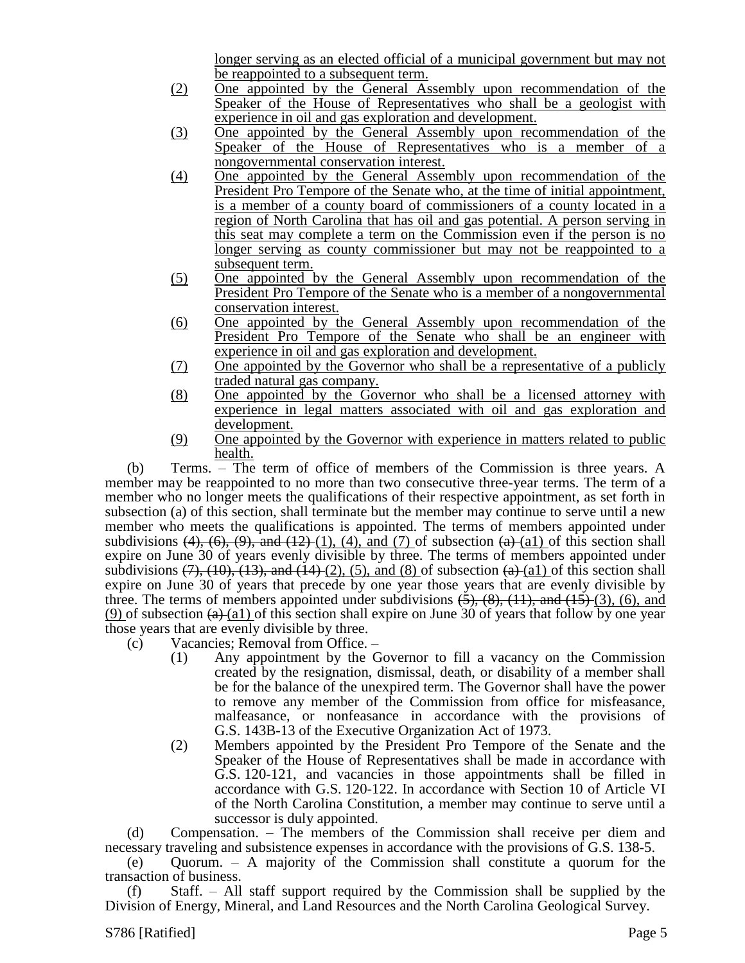longer serving as an elected official of a municipal government but may not be reappointed to a subsequent term.

- (2) One appointed by the General Assembly upon recommendation of the Speaker of the House of Representatives who shall be a geologist with experience in oil and gas exploration and development.
- (3) One appointed by the General Assembly upon recommendation of the Speaker of the House of Representatives who is a member of a nongovernmental conservation interest.
- (4) One appointed by the General Assembly upon recommendation of the President Pro Tempore of the Senate who, at the time of initial appointment, is a member of a county board of commissioners of a county located in a region of North Carolina that has oil and gas potential. A person serving in this seat may complete a term on the Commission even if the person is no longer serving as county commissioner but may not be reappointed to a subsequent term.
- (5) One appointed by the General Assembly upon recommendation of the President Pro Tempore of the Senate who is a member of a nongovernmental conservation interest.
- (6) One appointed by the General Assembly upon recommendation of the President Pro Tempore of the Senate who shall be an engineer with experience in oil and gas exploration and development.
- (7) One appointed by the Governor who shall be a representative of a publicly traded natural gas company.
- (8) One appointed by the Governor who shall be a licensed attorney with experience in legal matters associated with oil and gas exploration and development.
- (9) One appointed by the Governor with experience in matters related to public health.

(b) Terms. – The term of office of members of the Commission is three years. A member may be reappointed to no more than two consecutive three-year terms. The term of a member who no longer meets the qualifications of their respective appointment, as set forth in subsection (a) of this section, shall terminate but the member may continue to serve until a new member who meets the qualifications is appointed. The terms of members appointed under subdivisions  $(4)$ ,  $(6)$ ,  $(9)$ , and  $(12)$  (1),  $(4)$ , and  $(7)$  of subsection  $(4)$  (a1) of this section shall expire on June 30 of years evenly divisible by three. The terms of members appointed under subdivisions  $(7)$ ,  $(10)$ ,  $(13)$ , and  $(14)$   $(2)$ ,  $(5)$ , and  $(8)$  of subsection  $(a)$   $(a1)$  of this section shall expire on June 30 of years that precede by one year those years that are evenly divisible by three. The terms of members appointed under subdivisions  $(5)$ ,  $(8)$ ,  $(11)$ , and  $(15)$   $(3)$ ,  $(6)$ , and (9) of subsection  $(a)$  (a1) of this section shall expire on June 30 of years that follow by one year those years that are evenly divisible by three.

- (c) Vacancies; Removal from Office.
	- (1) Any appointment by the Governor to fill a vacancy on the Commission created by the resignation, dismissal, death, or disability of a member shall be for the balance of the unexpired term. The Governor shall have the power to remove any member of the Commission from office for misfeasance, malfeasance, or nonfeasance in accordance with the provisions of G.S. 143B-13 of the Executive Organization Act of 1973.
	- (2) Members appointed by the President Pro Tempore of the Senate and the Speaker of the House of Representatives shall be made in accordance with G.S. 120-121, and vacancies in those appointments shall be filled in accordance with G.S. 120-122. In accordance with Section 10 of Article VI of the North Carolina Constitution, a member may continue to serve until a successor is duly appointed.

(d) Compensation. – The members of the Commission shall receive per diem and necessary traveling and subsistence expenses in accordance with the provisions of G.S. 138-5.

(e) Quorum. – A majority of the Commission shall constitute a quorum for the transaction of business.

Staff. – All staff support required by the Commission shall be supplied by the Division of Energy, Mineral, and Land Resources and the North Carolina Geological Survey.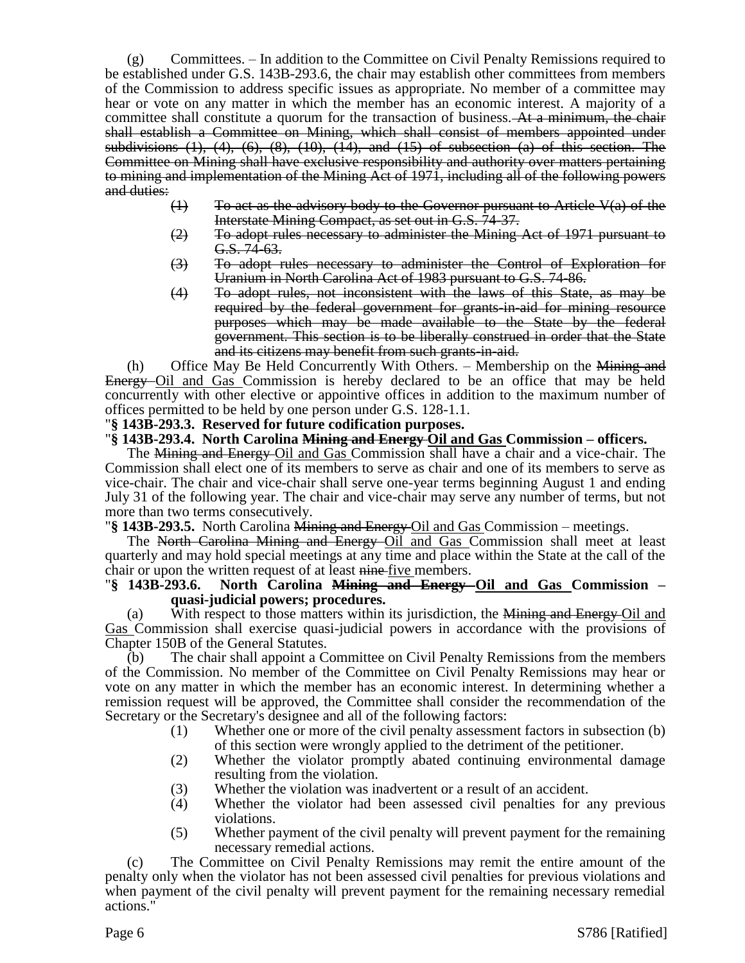(g) Committees. – In addition to the Committee on Civil Penalty Remissions required to be established under G.S. 143B-293.6, the chair may establish other committees from members of the Commission to address specific issues as appropriate. No member of a committee may hear or vote on any matter in which the member has an economic interest. A majority of a committee shall constitute a quorum for the transaction of business. At a minimum, the chair shall establish a Committee on Mining, which shall consist of members appointed under subdivisions  $(1)$ ,  $(4)$ ,  $(6)$ ,  $(8)$ ,  $(10)$ ,  $(14)$ , and  $(15)$  of subsection  $(a)$  of this section. The Committee on Mining shall have exclusive responsibility and authority over matters pertaining to mining and implementation of the Mining Act of 1971, including all of the following powers and duties:

- $(1)$  To act as the advisory body to the Governor pursuant to Article  $V(a)$  of the Interstate Mining Compact, as set out in G.S. 74-37.
- (2) To adopt rules necessary to administer the Mining Act of 1971 pursuant to G.S. 74-63.
- (3) To adopt rules necessary to administer the Control of Exploration for Uranium in North Carolina Act of 1983 pursuant to G.S. 74-86.
- (4) To adopt rules, not inconsistent with the laws of this State, as may be required by the federal government for grants-in-aid for mining resource purposes which may be made available to the State by the federal government. This section is to be liberally construed in order that the State and its citizens may benefit from such grants-in-aid.

(h) Office May Be Held Concurrently With Others.  $-$  Membership on the  $\frac{1}{\text{Mining and}}$ Energy Oil and Gas Commission is hereby declared to be an office that may be held concurrently with other elective or appointive offices in addition to the maximum number of offices permitted to be held by one person under G.S. 128-1.1.

#### "**§ 143B-293.3. Reserved for future codification purposes.**

#### "**§ 143B-293.4. North Carolina Mining and Energy Oil and Gas Commission – officers.**

The Mining and Energy Oil and Gas Commission shall have a chair and a vice-chair. The Commission shall elect one of its members to serve as chair and one of its members to serve as vice-chair. The chair and vice-chair shall serve one-year terms beginning August 1 and ending July 31 of the following year. The chair and vice-chair may serve any number of terms, but not more than two terms consecutively.

"**§ 143B-293.5.** North Carolina Mining and Energy Oil and Gas Commission – meetings.

The North Carolina Mining and Energy-Oil and Gas Commission shall meet at least quarterly and may hold special meetings at any time and place within the State at the call of the chair or upon the written request of at least nine-five members.

#### "**§ 143B-293.6. North Carolina Mining and Energy Oil and Gas Commission – quasi-judicial powers; procedures.**

(a) With respect to those matters within its jurisdiction, the Mining and Energy Oil and Gas Commission shall exercise quasi-judicial powers in accordance with the provisions of Chapter 150B of the General Statutes.

The chair shall appoint a Committee on Civil Penalty Remissions from the members of the Commission. No member of the Committee on Civil Penalty Remissions may hear or vote on any matter in which the member has an economic interest. In determining whether a remission request will be approved, the Committee shall consider the recommendation of the Secretary or the Secretary's designee and all of the following factors:

- (1) Whether one or more of the civil penalty assessment factors in subsection (b) of this section were wrongly applied to the detriment of the petitioner.
- (2) Whether the violator promptly abated continuing environmental damage resulting from the violation.
- (3) Whether the violation was inadvertent or a result of an accident.
- (4) Whether the violator had been assessed civil penalties for any previous violations.
- (5) Whether payment of the civil penalty will prevent payment for the remaining necessary remedial actions.

(c) The Committee on Civil Penalty Remissions may remit the entire amount of the penalty only when the violator has not been assessed civil penalties for previous violations and when payment of the civil penalty will prevent payment for the remaining necessary remedial actions."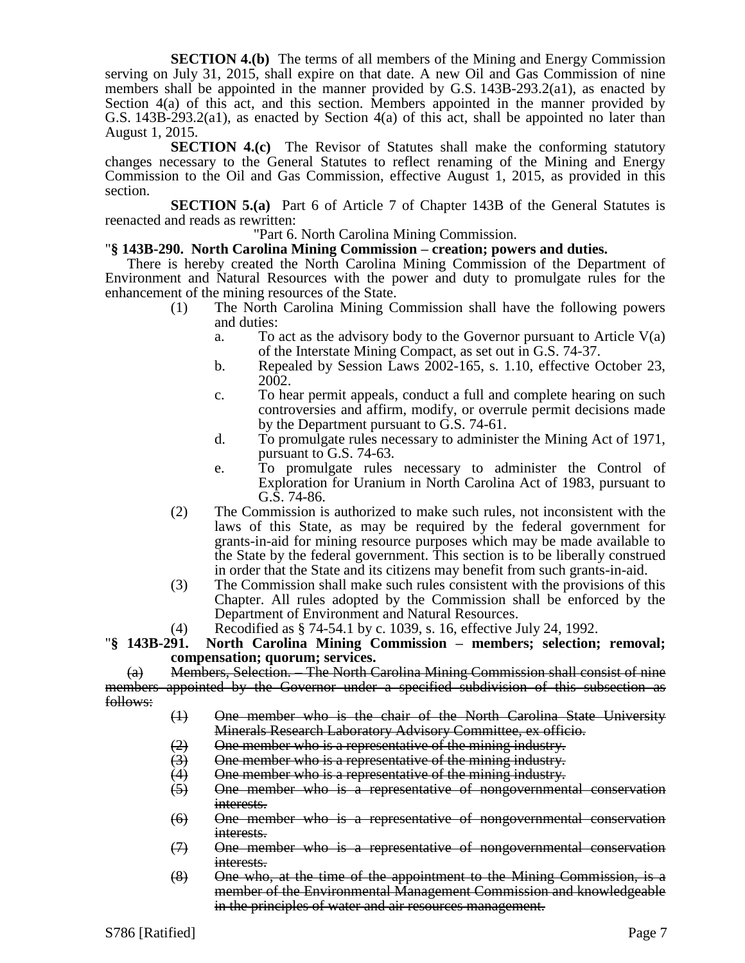**SECTION 4.(b)** The terms of all members of the Mining and Energy Commission serving on July 31, 2015, shall expire on that date. A new Oil and Gas Commission of nine members shall be appointed in the manner provided by G.S. 143B-293.2(a1), as enacted by Section 4(a) of this act, and this section. Members appointed in the manner provided by G.S. 143B-293.2(a1), as enacted by Section  $4(a)$  of this act, shall be appointed no later than August 1, 2015.

**SECTION 4.(c)** The Revisor of Statutes shall make the conforming statutory changes necessary to the General Statutes to reflect renaming of the Mining and Energy Commission to the Oil and Gas Commission, effective August 1, 2015, as provided in this section.

**SECTION 5.(a)** Part 6 of Article 7 of Chapter 143B of the General Statutes is reenacted and reads as rewritten:

"Part 6. North Carolina Mining Commission.

#### "**§ 143B-290. North Carolina Mining Commission – creation; powers and duties.**

There is hereby created the North Carolina Mining Commission of the Department of Environment and Natural Resources with the power and duty to promulgate rules for the enhancement of the mining resources of the State.

- (1) The North Carolina Mining Commission shall have the following powers and duties:
	- a. To act as the advisory body to the Governor pursuant to Article V(a) of the Interstate Mining Compact, as set out in G.S. 74-37.
	- b. Repealed by Session Laws 2002-165, s. 1.10, effective October 23, 2002.
	- c. To hear permit appeals, conduct a full and complete hearing on such controversies and affirm, modify, or overrule permit decisions made by the Department pursuant to G.S. 74-61.
	- d. To promulgate rules necessary to administer the Mining Act of 1971, pursuant to G.S. 74-63.
	- e. To promulgate rules necessary to administer the Control of Exploration for Uranium in North Carolina Act of 1983, pursuant to G.S. 74-86.
- (2) The Commission is authorized to make such rules, not inconsistent with the laws of this State, as may be required by the federal government for grants-in-aid for mining resource purposes which may be made available to the State by the federal government. This section is to be liberally construed in order that the State and its citizens may benefit from such grants-in-aid.
- (3) The Commission shall make such rules consistent with the provisions of this Chapter. All rules adopted by the Commission shall be enforced by the Department of Environment and Natural Resources.
	-

#### (4) Recodified as  $§$  74-54.1 by c. 1039, s. 16, effective July 24, 1992.<br>
"§ 143B-291. North Carolina Mining Commission – members; selection; North Carolina Mining Commission – members; selection; removal; **compensation; quorum; services.**

(a) Members, Selection. – The North Carolina Mining Commission shall consist of nine members appointed by the Governor under a specified subdivision of this subsection as follows:

- (1) One member who is the chair of the North Carolina State University Minerals Research Laboratory Advisory Committee, ex officio.
- $(2)$  One member who is a representative of the mining industry.
- (3) One member who is a representative of the mining industry.
- (4) One member who is a representative of the mining industry.
- (5) One member who is a representative of nongovernmental conservation interests.
- (6) One member who is a representative of nongovernmental conservation interests.
- (7) One member who is a representative of nongovernmental conservation interests.
- (8) One who, at the time of the appointment to the Mining Commission, is a member of the Environmental Management Commission and knowledgeable in the principles of water and air resources management.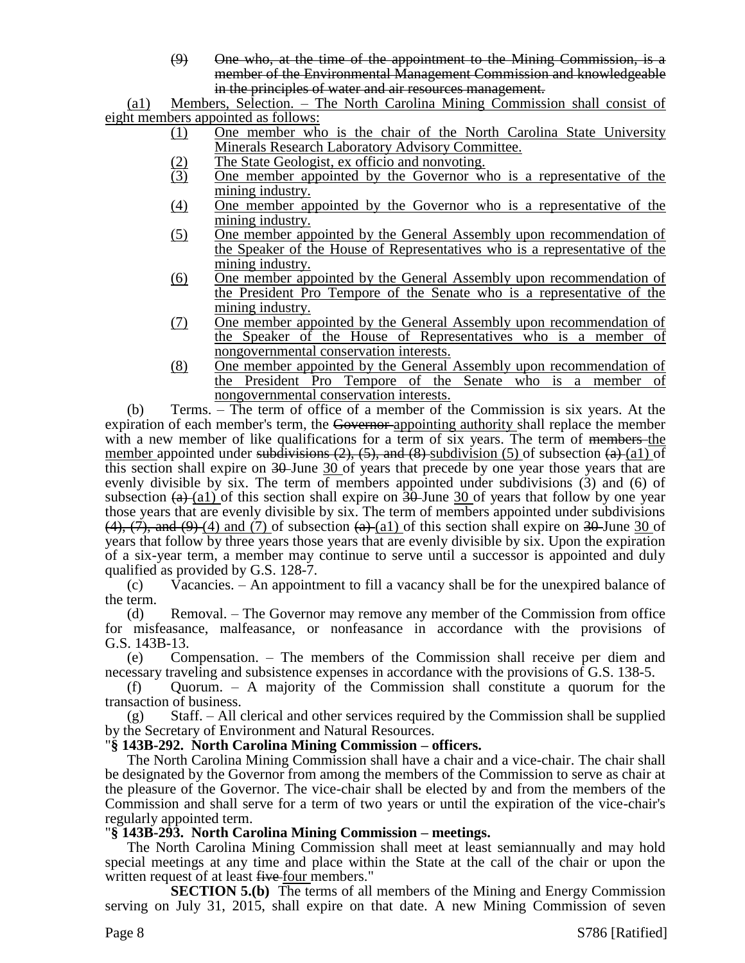(9) One who, at the time of the appointment to the Mining Commission, is a member of the Environmental Management Commission and knowledgeable in the principles of water and air resources management.

(a1) Members, Selection. – The North Carolina Mining Commission shall consist of eight members appointed as follows:

- (1) One member who is the chair of the North Carolina State University Minerals Research Laboratory Advisory Committee.
- (2) The State Geologist, ex officio and nonvoting.<br>
One member appointed by the Governor w
- (3) One member appointed by the Governor who is a representative of the mining industry.
- (4) One member appointed by the Governor who is a representative of the mining industry.
- (5) One member appointed by the General Assembly upon recommendation of the Speaker of the House of Representatives who is a representative of the mining industry.
- (6) One member appointed by the General Assembly upon recommendation of the President Pro Tempore of the Senate who is a representative of the mining industry.
- (7) One member appointed by the General Assembly upon recommendation of the Speaker of the House of Representatives who is a member of nongovernmental conservation interests.
- (8) One member appointed by the General Assembly upon recommendation of the President Pro Tempore of the Senate who is a member of nongovernmental conservation interests.

(b) Terms. – The term of office of a member of the Commission is six years. At the expiration of each member's term, the Governor-appointing authority shall replace the member with a new member of like qualifications for a term of six years. The term of <del>members t</del>he member appointed under subdivisions  $(2)$ ,  $(5)$ , and  $(8)$  subdivision (5) of subsection  $(a)$  (a1) of this section shall expire on 30-June 30 of years that precede by one year those years that are evenly divisible by six. The term of members appointed under subdivisions (3) and (6) of subsection  $(a)$  (a1) of this section shall expire on 30-June 30 of years that follow by one year those years that are evenly divisible by six. The term of members appointed under subdivisions  $(4)$ ,  $(7)$ , and  $(9)$  (4) and (7) of subsection  $(4)$  (a1) of this section shall expire on 30 June 30 of years that follow by three years those years that are evenly divisible by six. Upon the expiration of a six-year term, a member may continue to serve until a successor is appointed and duly qualified as provided by G.S. 128-7.

(c) Vacancies. – An appointment to fill a vacancy shall be for the unexpired balance of the term.

(d) Removal. – The Governor may remove any member of the Commission from office for misfeasance, malfeasance, or nonfeasance in accordance with the provisions of G.S. 143B-13.

(e) Compensation. – The members of the Commission shall receive per diem and necessary traveling and subsistence expenses in accordance with the provisions of G.S. 138-5.

(f) Quorum. – A majority of the Commission shall constitute a quorum for the transaction of business.

(g) Staff. – All clerical and other services required by the Commission shall be supplied by the Secretary of Environment and Natural Resources.

#### "**§ 143B-292. North Carolina Mining Commission – officers.**

The North Carolina Mining Commission shall have a chair and a vice-chair. The chair shall be designated by the Governor from among the members of the Commission to serve as chair at the pleasure of the Governor. The vice-chair shall be elected by and from the members of the Commission and shall serve for a term of two years or until the expiration of the vice-chair's regularly appointed term.

## "**§ 143B-293. North Carolina Mining Commission – meetings.**

The North Carolina Mining Commission shall meet at least semiannually and may hold special meetings at any time and place within the State at the call of the chair or upon the written request of at least five four members."

**SECTION 5.(b)** The terms of all members of the Mining and Energy Commission serving on July 31, 2015, shall expire on that date. A new Mining Commission of seven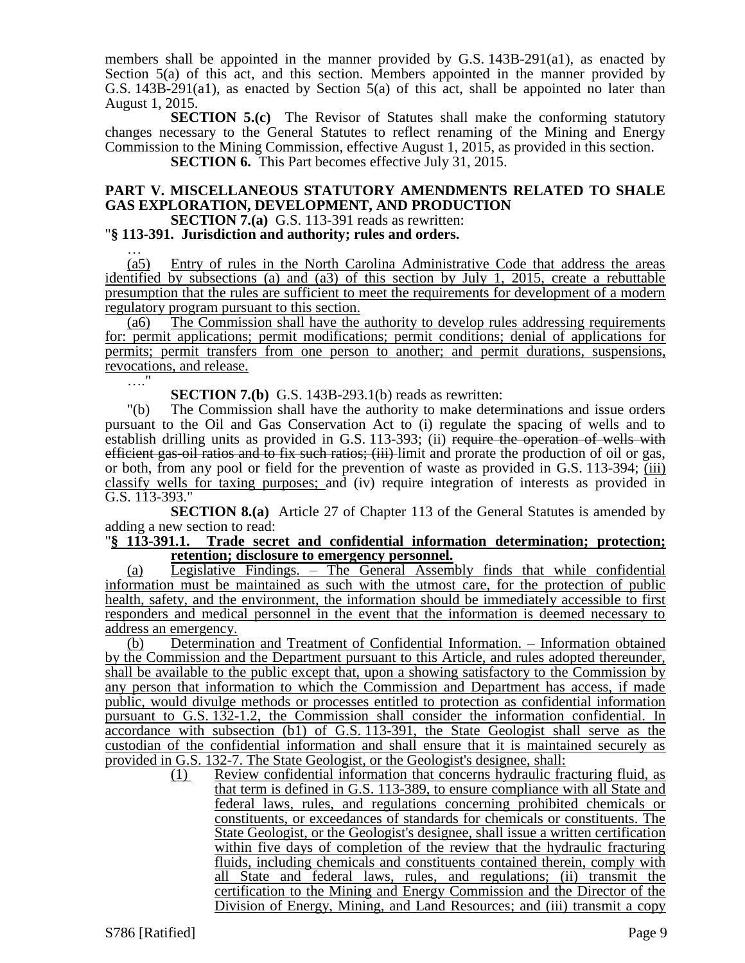members shall be appointed in the manner provided by G.S. 143B-291(a1), as enacted by Section 5(a) of this act, and this section. Members appointed in the manner provided by G.S. 143B-291(a1), as enacted by Section 5(a) of this act, shall be appointed no later than August 1, 2015.

**SECTION 5.(c)** The Revisor of Statutes shall make the conforming statutory changes necessary to the General Statutes to reflect renaming of the Mining and Energy Commission to the Mining Commission, effective August 1, 2015, as provided in this section.

**SECTION 6.** This Part becomes effective July 31, 2015.

## **PART V. MISCELLANEOUS STATUTORY AMENDMENTS RELATED TO SHALE GAS EXPLORATION, DEVELOPMENT, AND PRODUCTION**

# **SECTION 7.(a)** G.S. 113-391 reads as rewritten:

"**§ 113-391. Jurisdiction and authority; rules and orders.** …

(a5) Entry of rules in the North Carolina Administrative Code that address the areas identified by subsections (a) and (a3) of this section by July 1, 2015, create a rebuttable presumption that the rules are sufficient to meet the requirements for development of a modern regulatory program pursuant to this section.

(a6) The Commission shall have the authority to develop rules addressing requirements for: permit applications; permit modifications; permit conditions; denial of applications for permits; permit transfers from one person to another; and permit durations, suspensions, revocations, and release.

…."

**SECTION 7.(b)** G.S. 143B-293.1(b) reads as rewritten:

"(b) The Commission shall have the authority to make determinations and issue orders pursuant to the Oil and Gas Conservation Act to (i) regulate the spacing of wells and to establish drilling units as provided in G.S. 113-393; (ii) require the operation of wells with efficient gas-oil ratios and to fix such ratios; (iii) limit and prorate the production of oil or gas, or both, from any pool or field for the prevention of waste as provided in G.S. 113-394; (iii) classify wells for taxing purposes; and (iv) require integration of interests as provided in G.S. 113-393."

**SECTION 8.(a)** Article 27 of Chapter 113 of the General Statutes is amended by adding a new section to read:<br>"§ 113-391.1. Trade secr

#### Trade secret and confidential information determination; protection; **retention; disclosure to emergency personnel.**

(a) Legislative Findings. – The General Assembly finds that while confidential information must be maintained as such with the utmost care, for the protection of public health, safety, and the environment, the information should be immediately accessible to first responders and medical personnel in the event that the information is deemed necessary to address an emergency.

(b) Determination and Treatment of Confidential Information. – Information obtained by the Commission and the Department pursuant to this Article, and rules adopted thereunder, shall be available to the public except that, upon a showing satisfactory to the Commission by any person that information to which the Commission and Department has access, if made public, would divulge methods or processes entitled to protection as confidential information pursuant to G.S. 132-1.2, the Commission shall consider the information confidential. In accordance with subsection (b1) of G.S. 113-391, the State Geologist shall serve as the custodian of the confidential information and shall ensure that it is maintained securely as provided in G.S. 132-7. The State Geologist, or the Geologist's designee, shall:

(1) Review confidential information that concerns hydraulic fracturing fluid, as that term is defined in G.S. 113-389, to ensure compliance with all State and federal laws, rules, and regulations concerning prohibited chemicals or constituents, or exceedances of standards for chemicals or constituents. The State Geologist, or the Geologist's designee, shall issue a written certification within five days of completion of the review that the hydraulic fracturing fluids, including chemicals and constituents contained therein, comply with all State and federal laws, rules, and regulations; (ii) transmit the certification to the Mining and Energy Commission and the Director of the Division of Energy, Mining, and Land Resources; and (iii) transmit a copy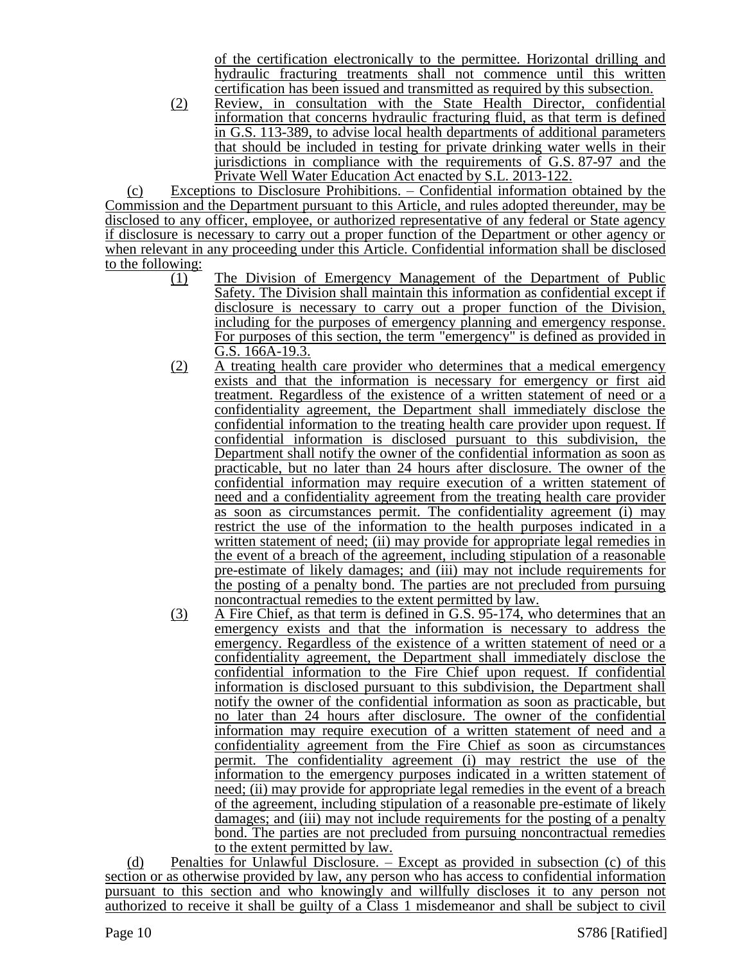of the certification electronically to the permittee. Horizontal drilling and hydraulic fracturing treatments shall not commence until this written certification has been issued and transmitted as required by this subsection.

(2) Review, in consultation with the State Health Director, confidential information that concerns hydraulic fracturing fluid, as that term is defined in G.S. 113-389, to advise local health departments of additional parameters that should be included in testing for private drinking water wells in their jurisdictions in compliance with the requirements of G.S. 87-97 and the Private Well Water Education Act enacted by S.L. 2013-122.

(c) Exceptions to Disclosure Prohibitions. – Confidential information obtained by the Commission and the Department pursuant to this Article, and rules adopted thereunder, may be disclosed to any officer, employee, or authorized representative of any federal or State agency if disclosure is necessary to carry out a proper function of the Department or other agency or when relevant in any proceeding under this Article. Confidential information shall be disclosed to the following:

- (1) The Division of Emergency Management of the Department of Public Safety. The Division shall maintain this information as confidential except if disclosure is necessary to carry out a proper function of the Division, including for the purposes of emergency planning and emergency response. For purposes of this section, the term "emergency" is defined as provided in G.S. 166A-19.3.
- (2) A treating health care provider who determines that a medical emergency exists and that the information is necessary for emergency or first aid treatment. Regardless of the existence of a written statement of need or a confidentiality agreement, the Department shall immediately disclose the confidential information to the treating health care provider upon request. If confidential information is disclosed pursuant to this subdivision, the Department shall notify the owner of the confidential information as soon as practicable, but no later than 24 hours after disclosure. The owner of the confidential information may require execution of a written statement of need and a confidentiality agreement from the treating health care provider as soon as circumstances permit. The confidentiality agreement (i) may restrict the use of the information to the health purposes indicated in a written statement of need; (ii) may provide for appropriate legal remedies in the event of a breach of the agreement, including stipulation of a reasonable pre-estimate of likely damages; and (iii) may not include requirements for the posting of a penalty bond. The parties are not precluded from pursuing noncontractual remedies to the extent permitted by law.
- (3) A Fire Chief, as that term is defined in G.S. 95-174, who determines that an emergency exists and that the information is necessary to address the emergency. Regardless of the existence of a written statement of need or a confidentiality agreement, the Department shall immediately disclose the confidential information to the Fire Chief upon request. If confidential information is disclosed pursuant to this subdivision, the Department shall notify the owner of the confidential information as soon as practicable, but no later than 24 hours after disclosure. The owner of the confidential information may require execution of a written statement of need and a confidentiality agreement from the Fire Chief as soon as circumstances permit. The confidentiality agreement (i) may restrict the use of the information to the emergency purposes indicated in a written statement of need; (ii) may provide for appropriate legal remedies in the event of a breach of the agreement, including stipulation of a reasonable pre-estimate of likely damages; and (iii) may not include requirements for the posting of a penalty bond. The parties are not precluded from pursuing noncontractual remedies to the extent permitted by law.

(d) Penalties for Unlawful Disclosure. – Except as provided in subsection (c) of this section or as otherwise provided by law, any person who has access to confidential information pursuant to this section and who knowingly and willfully discloses it to any person not authorized to receive it shall be guilty of a Class 1 misdemeanor and shall be subject to civil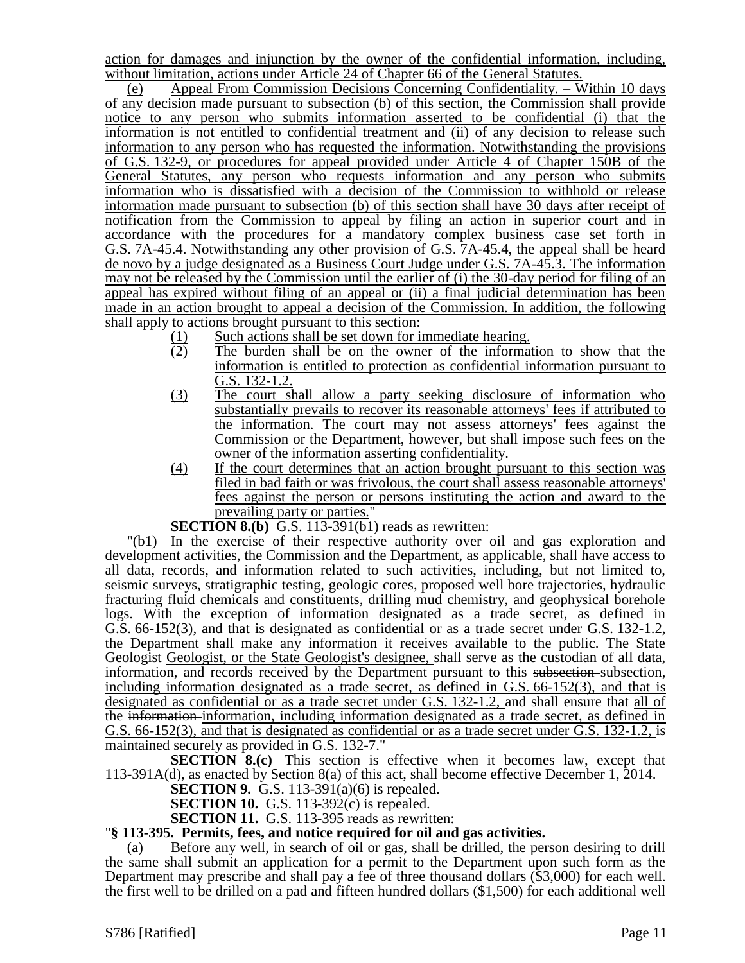action for damages and injunction by the owner of the confidential information, including, without limitation, actions under Article 24 of Chapter 66 of the General Statutes.

(e) Appeal From Commission Decisions Concerning Confidentiality. – Within 10 days of any decision made pursuant to subsection (b) of this section, the Commission shall provide notice to any person who submits information asserted to be confidential (i) that the information is not entitled to confidential treatment and (ii) of any decision to release such information to any person who has requested the information. Notwithstanding the provisions of G.S. 132-9, or procedures for appeal provided under Article 4 of Chapter 150B of the General Statutes, any person who requests information and any person who submits information who is dissatisfied with a decision of the Commission to withhold or release information made pursuant to subsection (b) of this section shall have 30 days after receipt of notification from the Commission to appeal by filing an action in superior court and in accordance with the procedures for a mandatory complex business case set forth in G.S. 7A-45.4. Notwithstanding any other provision of G.S. 7A-45.4, the appeal shall be heard de novo by a judge designated as a Business Court Judge under G.S. 7A-45.3. The information may not be released by the Commission until the earlier of (i) the 30-day period for filing of an appeal has expired without filing of an appeal or (ii) a final judicial determination has been made in an action brought to appeal a decision of the Commission. In addition, the following shall apply to actions brought pursuant to this section:

- $\frac{(1)}{(2)}$  Such actions shall be set down for immediate hearing.<br>The burden shall be on the owner of the informa
- The burden shall be on the owner of the information to show that the information is entitled to protection as confidential information pursuant to G.S. 132-1.2.
- (3) The court shall allow a party seeking disclosure of information who substantially prevails to recover its reasonable attorneys' fees if attributed to the information. The court may not assess attorneys' fees against the Commission or the Department, however, but shall impose such fees on the owner of the information asserting confidentiality.
- (4) If the court determines that an action brought pursuant to this section was filed in bad faith or was frivolous, the court shall assess reasonable attorneys' fees against the person or persons instituting the action and award to the prevailing party or parties."
- **SECTION 8.(b)** G.S. 113-391(b1) reads as rewritten:

"(b1) In the exercise of their respective authority over oil and gas exploration and development activities, the Commission and the Department, as applicable, shall have access to all data, records, and information related to such activities, including, but not limited to, seismic surveys, stratigraphic testing, geologic cores, proposed well bore trajectories, hydraulic fracturing fluid chemicals and constituents, drilling mud chemistry, and geophysical borehole logs. With the exception of information designated as a trade secret, as defined in G.S. 66-152(3), and that is designated as confidential or as a trade secret under G.S. 132-1.2, the Department shall make any information it receives available to the public. The State Geologist Geologist, or the State Geologist's designee, shall serve as the custodian of all data, information, and records received by the Department pursuant to this subsection-subsection, including information designated as a trade secret, as defined in G.S. 66-152(3), and that is designated as confidential or as a trade secret under G.S. 132-1.2, and shall ensure that all of the information information, including information designated as a trade secret, as defined in G.S. 66-152(3), and that is designated as confidential or as a trade secret under G.S. 132-1.2, is maintained securely as provided in G.S. 132-7."

**SECTION 8.(c)** This section is effective when it becomes law, except that 113-391A(d), as enacted by Section 8(a) of this act, shall become effective December 1, 2014.

**SECTION 9.** G.S. 113-391(a)(6) is repealed.

**SECTION 10.** G.S. 113-392(c) is repealed.

**SECTION 11.** G.S. 113-395 reads as rewritten:

#### "**§ 113-395. Permits, fees, and notice required for oil and gas activities.**

(a) Before any well, in search of oil or gas, shall be drilled, the person desiring to drill the same shall submit an application for a permit to the Department upon such form as the Department may prescribe and shall pay a fee of three thousand dollars (\$3,000) for each well. the first well to be drilled on a pad and fifteen hundred dollars (\$1,500) for each additional well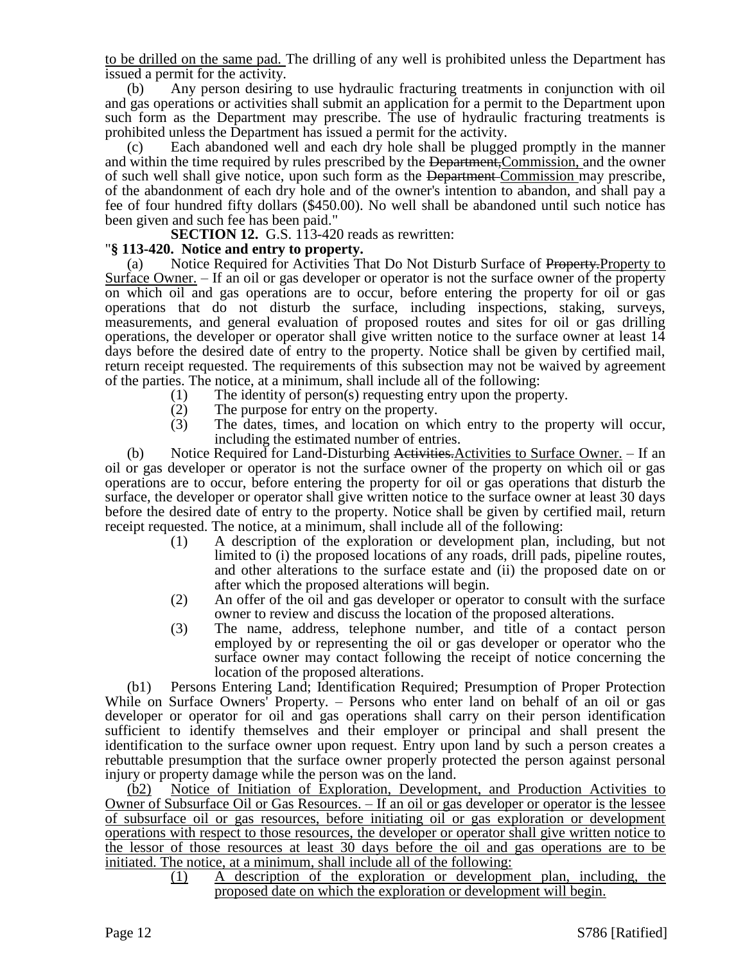to be drilled on the same pad. The drilling of any well is prohibited unless the Department has issued a permit for the activity.

(b) Any person desiring to use hydraulic fracturing treatments in conjunction with oil and gas operations or activities shall submit an application for a permit to the Department upon such form as the Department may prescribe. The use of hydraulic fracturing treatments is prohibited unless the Department has issued a permit for the activity.

Each abandoned well and each dry hole shall be plugged promptly in the manner and within the time required by rules prescribed by the Department,Commission, and the owner of such well shall give notice, upon such form as the Department Commission may prescribe, of the abandonment of each dry hole and of the owner's intention to abandon, and shall pay a fee of four hundred fifty dollars (\$450.00). No well shall be abandoned until such notice has been given and such fee has been paid."

**SECTION 12.** G.S. 113-420 reads as rewritten:

# "**§ 113-420. Notice and entry to property.**

(a) Notice Required for Activities That Do Not Disturb Surface of Property.Property to Surface Owner. – If an oil or gas developer or operator is not the surface owner of the property on which oil and gas operations are to occur, before entering the property for oil or gas operations that do not disturb the surface, including inspections, staking, surveys, measurements, and general evaluation of proposed routes and sites for oil or gas drilling operations, the developer or operator shall give written notice to the surface owner at least 14 days before the desired date of entry to the property. Notice shall be given by certified mail, return receipt requested. The requirements of this subsection may not be waived by agreement of the parties. The notice, at a minimum, shall include all of the following:

- (1) The identity of person(s) requesting entry upon the property.<br>
(2) The purpose for entry on the property.
- The purpose for entry on the property.
- (3) The dates, times, and location on which entry to the property will occur, including the estimated number of entries.

(b) Notice Required for Land-Disturbing Activities. Activities to Surface Owner.  $-$  If an oil or gas developer or operator is not the surface owner of the property on which oil or gas operations are to occur, before entering the property for oil or gas operations that disturb the surface, the developer or operator shall give written notice to the surface owner at least 30 days before the desired date of entry to the property. Notice shall be given by certified mail, return receipt requested. The notice, at a minimum, shall include all of the following:

- (1) A description of the exploration or development plan, including, but not limited to (i) the proposed locations of any roads, drill pads, pipeline routes, and other alterations to the surface estate and (ii) the proposed date on or after which the proposed alterations will begin.
- (2) An offer of the oil and gas developer or operator to consult with the surface owner to review and discuss the location of the proposed alterations.
- (3) The name, address, telephone number, and title of a contact person employed by or representing the oil or gas developer or operator who the surface owner may contact following the receipt of notice concerning the location of the proposed alterations.

(b1) Persons Entering Land; Identification Required; Presumption of Proper Protection While on Surface Owners<sup>†</sup> Property. – Persons who enter land on behalf of an oil or gas developer or operator for oil and gas operations shall carry on their person identification sufficient to identify themselves and their employer or principal and shall present the identification to the surface owner upon request. Entry upon land by such a person creates a rebuttable presumption that the surface owner properly protected the person against personal injury or property damage while the person was on the land.

(b2) Notice of Initiation of Exploration, Development, and Production Activities to Owner of Subsurface Oil or Gas Resources. – If an oil or gas developer or operator is the lessee of subsurface oil or gas resources, before initiating oil or gas exploration or development operations with respect to those resources, the developer or operator shall give written notice to the lessor of those resources at least 30 days before the oil and gas operations are to be initiated. The notice, at a minimum, shall include all of the following:

> (1) A description of the exploration or development plan, including, the proposed date on which the exploration or development will begin.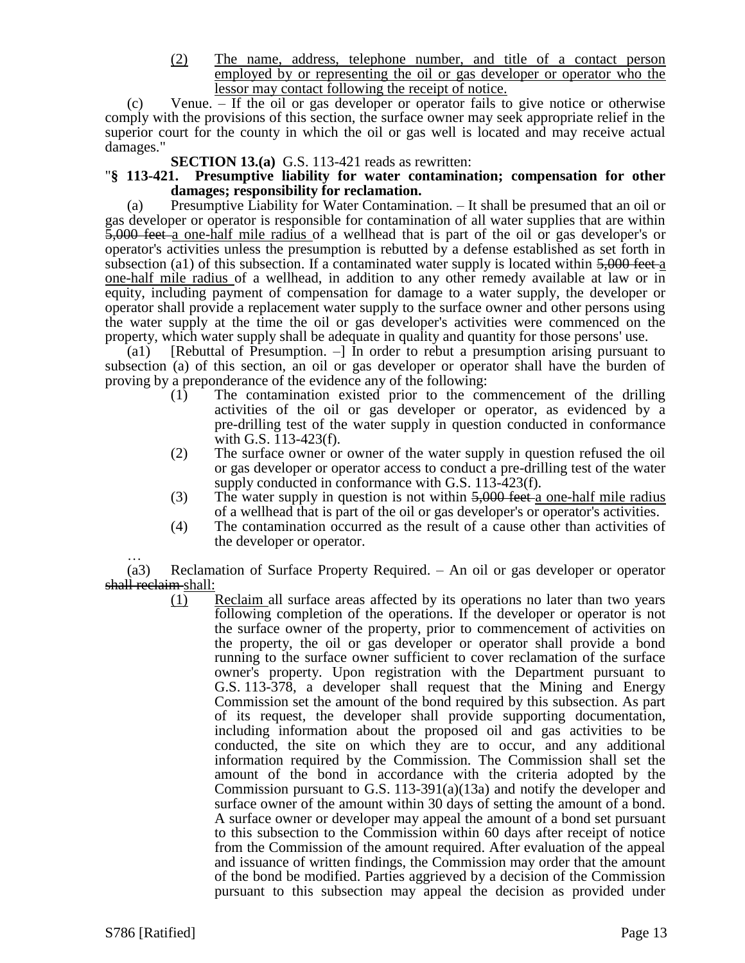(2) The name, address, telephone number, and title of a contact person employed by or representing the oil or gas developer or operator who the lessor may contact following the receipt of notice.

(c) Venue. – If the oil or gas developer or operator fails to give notice or otherwise comply with the provisions of this section, the surface owner may seek appropriate relief in the superior court for the county in which the oil or gas well is located and may receive actual damages."

**SECTION 13.(a)** G.S. 113-421 reads as rewritten:

#### "**§ 113-421. Presumptive liability for water contamination; compensation for other damages; responsibility for reclamation.**

(a) Presumptive Liability for Water Contamination. – It shall be presumed that an oil or gas developer or operator is responsible for contamination of all water supplies that are within 5,000 feet a one-half mile radius of a wellhead that is part of the oil or gas developer's or operator's activities unless the presumption is rebutted by a defense established as set forth in subsection (a1) of this subsection. If a contaminated water supply is located within  $5,000$  feet-a one-half mile radius of a wellhead, in addition to any other remedy available at law or in equity, including payment of compensation for damage to a water supply, the developer or operator shall provide a replacement water supply to the surface owner and other persons using the water supply at the time the oil or gas developer's activities were commenced on the property, which water supply shall be adequate in quality and quantity for those persons' use.

(a1) [Rebuttal of Presumption.  $-$ ] In order to rebut a presumption arising pursuant to subsection (a) of this section, an oil or gas developer or operator shall have the burden of proving by a preponderance of the evidence any of the following:

- (1) The contamination existed prior to the commencement of the drilling activities of the oil or gas developer or operator, as evidenced by a pre-drilling test of the water supply in question conducted in conformance with G.S. 113-423(f).
- (2) The surface owner or owner of the water supply in question refused the oil or gas developer or operator access to conduct a pre-drilling test of the water supply conducted in conformance with G.S. 113-423(f).
- (3) The water supply in question is not within  $\frac{5,000}{1}$  feet a one-half mile radius of a wellhead that is part of the oil or gas developer's or operator's activities.
- (4) The contamination occurred as the result of a cause other than activities of the developer or operator.

… (a3) Reclamation of Surface Property Required. – An oil or gas developer or operator shall reclaim shall:

(1) Reclaim all surface areas affected by its operations no later than two years following completion of the operations. If the developer or operator is not the surface owner of the property, prior to commencement of activities on the property, the oil or gas developer or operator shall provide a bond running to the surface owner sufficient to cover reclamation of the surface owner's property. Upon registration with the Department pursuant to G.S. 113-378, a developer shall request that the Mining and Energy Commission set the amount of the bond required by this subsection. As part of its request, the developer shall provide supporting documentation, including information about the proposed oil and gas activities to be conducted, the site on which they are to occur, and any additional information required by the Commission. The Commission shall set the amount of the bond in accordance with the criteria adopted by the Commission pursuant to G.S. 113-391(a)(13a) and notify the developer and surface owner of the amount within 30 days of setting the amount of a bond. A surface owner or developer may appeal the amount of a bond set pursuant to this subsection to the Commission within 60 days after receipt of notice from the Commission of the amount required. After evaluation of the appeal and issuance of written findings, the Commission may order that the amount of the bond be modified. Parties aggrieved by a decision of the Commission pursuant to this subsection may appeal the decision as provided under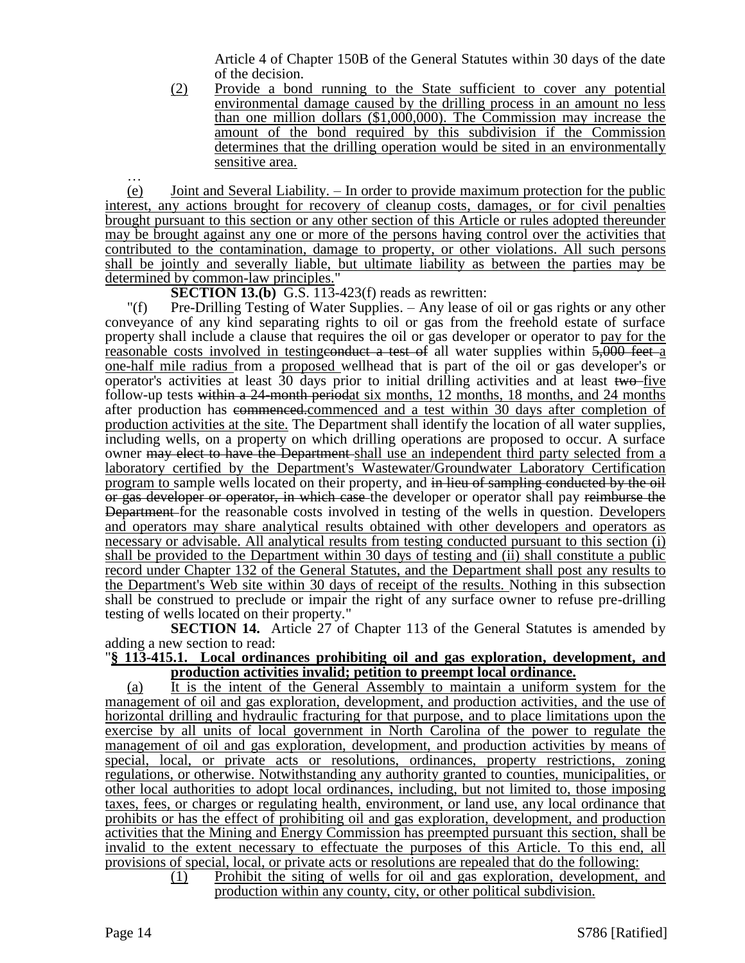Article 4 of Chapter 150B of the General Statutes within 30 days of the date of the decision.

(2) Provide a bond running to the State sufficient to cover any potential environmental damage caused by the drilling process in an amount no less than one million dollars (\$1,000,000). The Commission may increase the amount of the bond required by this subdivision if the Commission determines that the drilling operation would be sited in an environmentally sensitive area.

… (e) Joint and Several Liability. – In order to provide maximum protection for the public interest, any actions brought for recovery of cleanup costs, damages, or for civil penalties brought pursuant to this section or any other section of this Article or rules adopted thereunder may be brought against any one or more of the persons having control over the activities that contributed to the contamination, damage to property, or other violations. All such persons shall be jointly and severally liable, but ultimate liability as between the parties may be determined by common-law principles.

**SECTION 13.(b)** G.S. 113-423(f) reads as rewritten:

"(f) Pre-Drilling Testing of Water Supplies. – Any lease of oil or gas rights or any other conveyance of any kind separating rights to oil or gas from the freehold estate of surface property shall include a clause that requires the oil or gas developer or operator to pay for the reasonable costs involved in testingconduct a test of all water supplies within 5,000 feet a one-half mile radius from a proposed wellhead that is part of the oil or gas developer's or operator's activities at least  $30$  days prior to initial drilling activities and at least two-five follow-up tests within a 24-month periodat six months, 12 months, 18 months, and 24 months after production has commenced.commenced and a test within 30 days after completion of production activities at the site. The Department shall identify the location of all water supplies, including wells, on a property on which drilling operations are proposed to occur. A surface owner may elect to have the Department shall use an independent third party selected from a laboratory certified by the Department's Wastewater/Groundwater Laboratory Certification program to sample wells located on their property, and in lieu of sampling conducted by the oil or gas developer or operator, in which case the developer or operator shall pay reimburse the Department for the reasonable costs involved in testing of the wells in question. Developers and operators may share analytical results obtained with other developers and operators as necessary or advisable. All analytical results from testing conducted pursuant to this section (i) shall be provided to the Department within 30 days of testing and (ii) shall constitute a public record under Chapter 132 of the General Statutes, and the Department shall post any results to the Department's Web site within 30 days of receipt of the results. Nothing in this subsection shall be construed to preclude or impair the right of any surface owner to refuse pre-drilling testing of wells located on their property."

**SECTION 14.** Article 27 of Chapter 113 of the General Statutes is amended by adding a new section to read:

#### "**§ 113-415.1. Local ordinances prohibiting oil and gas exploration, development, and production activities invalid; petition to preempt local ordinance.**

(a) It is the intent of the General Assembly to maintain a uniform system for the management of oil and gas exploration, development, and production activities, and the use of horizontal drilling and hydraulic fracturing for that purpose, and to place limitations upon the exercise by all units of local government in North Carolina of the power to regulate the management of oil and gas exploration, development, and production activities by means of special, local, or private acts or resolutions, ordinances, property restrictions, zoning regulations, or otherwise. Notwithstanding any authority granted to counties, municipalities, or other local authorities to adopt local ordinances, including, but not limited to, those imposing taxes, fees, or charges or regulating health, environment, or land use, any local ordinance that prohibits or has the effect of prohibiting oil and gas exploration, development, and production activities that the Mining and Energy Commission has preempted pursuant this section, shall be invalid to the extent necessary to effectuate the purposes of this Article. To this end, all provisions of special, local, or private acts or resolutions are repealed that do the following:

(1) Prohibit the siting of wells for oil and gas exploration, development, and production within any county, city, or other political subdivision.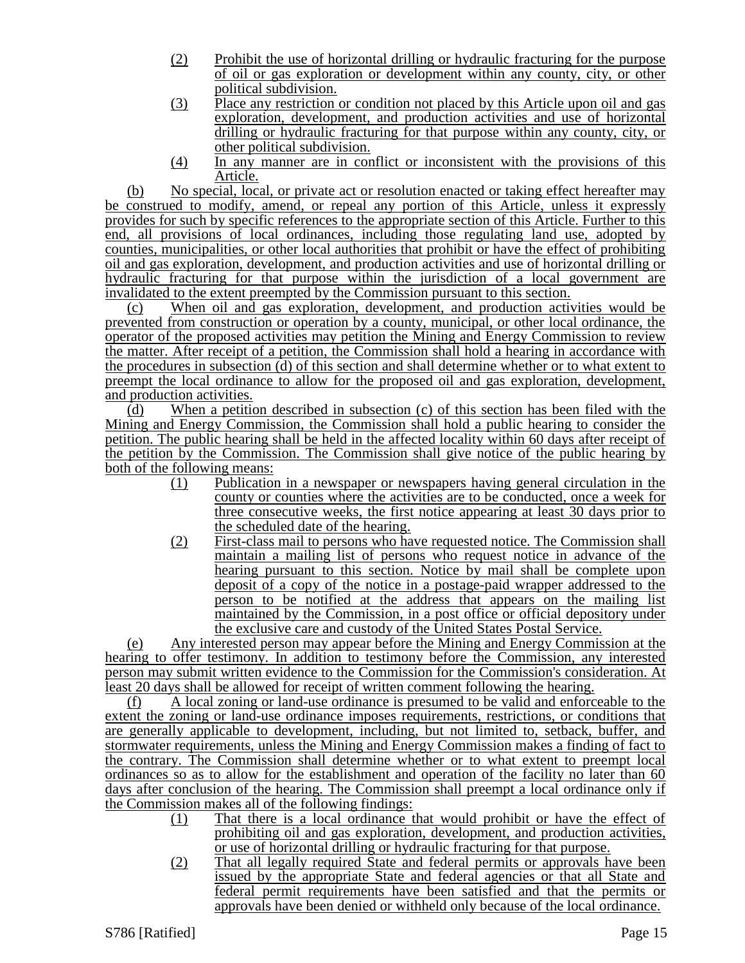- (2) Prohibit the use of horizontal drilling or hydraulic fracturing for the purpose of oil or gas exploration or development within any county, city, or other political subdivision.
- (3) Place any restriction or condition not placed by this Article upon oil and gas exploration, development, and production activities and use of horizontal drilling or hydraulic fracturing for that purpose within any county, city, or other political subdivision.
- (4) In any manner are in conflict or inconsistent with the provisions of this Article.

(b) No special, local, or private act or resolution enacted or taking effect hereafter may be construed to modify, amend, or repeal any portion of this Article, unless it expressly provides for such by specific references to the appropriate section of this Article. Further to this end, all provisions of local ordinances, including those regulating land use, adopted by counties, municipalities, or other local authorities that prohibit or have the effect of prohibiting oil and gas exploration, development, and production activities and use of horizontal drilling or hydraulic fracturing for that purpose within the jurisdiction of a local government are invalidated to the extent preempted by the Commission pursuant to this section.

(c) When oil and gas exploration, development, and production activities would be prevented from construction or operation by a county, municipal, or other local ordinance, the operator of the proposed activities may petition the Mining and Energy Commission to review the matter. After receipt of a petition, the Commission shall hold a hearing in accordance with the procedures in subsection (d) of this section and shall determine whether or to what extent to preempt the local ordinance to allow for the proposed oil and gas exploration, development, and production activities.

 $(d)$  When a petition described in subsection (c) of this section has been filed with the Mining and Energy Commission, the Commission shall hold a public hearing to consider the petition. The public hearing shall be held in the affected locality within 60 days after receipt of the petition by the Commission. The Commission shall give notice of the public hearing by both of the following means:

- (1) Publication in a newspaper or newspapers having general circulation in the county or counties where the activities are to be conducted, once a week for three consecutive weeks, the first notice appearing at least 30 days prior to the scheduled date of the hearing.
- (2) First-class mail to persons who have requested notice. The Commission shall maintain a mailing list of persons who request notice in advance of the hearing pursuant to this section. Notice by mail shall be complete upon deposit of a copy of the notice in a postage-paid wrapper addressed to the person to be notified at the address that appears on the mailing list maintained by the Commission, in a post office or official depository under the exclusive care and custody of the United States Postal Service.

(e) Any interested person may appear before the Mining and Energy Commission at the hearing to offer testimony. In addition to testimony before the Commission, any interested person may submit written evidence to the Commission for the Commission's consideration. At least 20 days shall be allowed for receipt of written comment following the hearing.

(f) A local zoning or land-use ordinance is presumed to be valid and enforceable to the extent the zoning or land-use ordinance imposes requirements, restrictions, or conditions that are generally applicable to development, including, but not limited to, setback, buffer, and stormwater requirements, unless the Mining and Energy Commission makes a finding of fact to the contrary. The Commission shall determine whether or to what extent to preempt local ordinances so as to allow for the establishment and operation of the facility no later than 60 days after conclusion of the hearing. The Commission shall preempt a local ordinance only if the Commission makes all of the following findings:

- (1) That there is a local ordinance that would prohibit or have the effect of prohibiting oil and gas exploration, development, and production activities, or use of horizontal drilling or hydraulic fracturing for that purpose.
- (2) That all legally required State and federal permits or approvals have been issued by the appropriate State and federal agencies or that all State and federal permit requirements have been satisfied and that the permits or approvals have been denied or withheld only because of the local ordinance.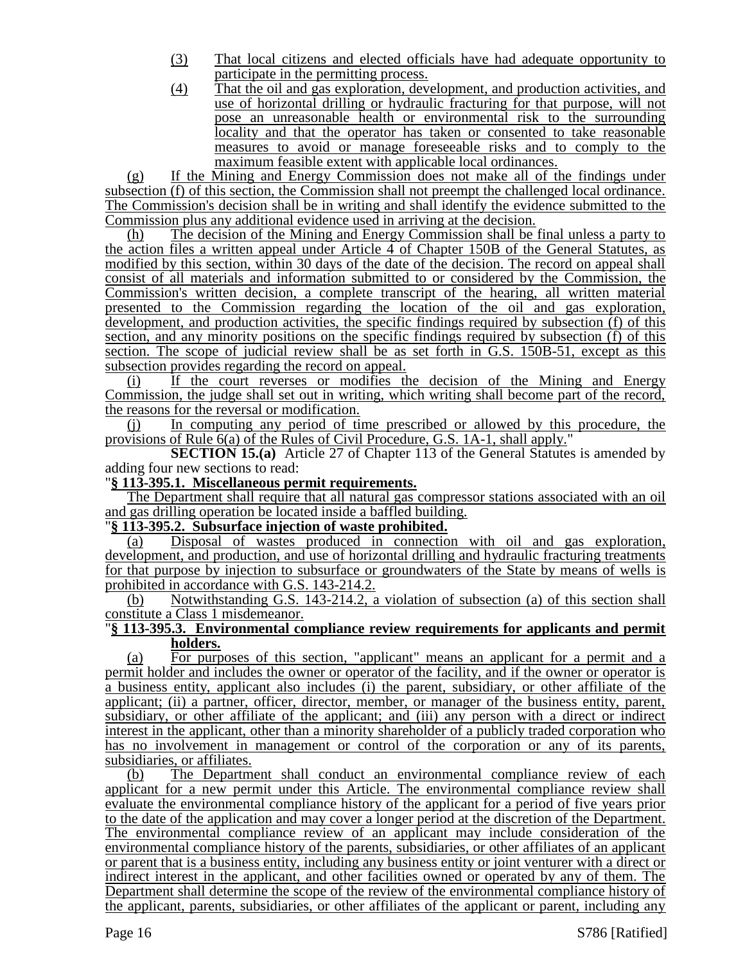- (3) That local citizens and elected officials have had adequate opportunity to participate in the permitting process.
- (4) That the oil and gas exploration, development, and production activities, and use of horizontal drilling or hydraulic fracturing for that purpose, will not pose an unreasonable health or environmental risk to the surrounding locality and that the operator has taken or consented to take reasonable measures to avoid or manage foreseeable risks and to comply to the maximum feasible extent with applicable local ordinances.

(g) If the Mining and Energy Commission does not make all of the findings under subsection (f) of this section, the Commission shall not preempt the challenged local ordinance. The Commission's decision shall be in writing and shall identify the evidence submitted to the Commission plus any additional evidence used in arriving at the decision.

(h) The decision of the Mining and Energy Commission shall be final unless a party to the action files a written appeal under Article 4 of Chapter 150B of the General Statutes, as modified by this section, within 30 days of the date of the decision. The record on appeal shall consist of all materials and information submitted to or considered by the Commission, the Commission's written decision, a complete transcript of the hearing, all written material presented to the Commission regarding the location of the oil and gas exploration, development, and production activities, the specific findings required by subsection (f) of this section, and any minority positions on the specific findings required by subsection (f) of this section. The scope of judicial review shall be as set forth in G.S. 150B-51, except as this subsection provides regarding the record on appeal.

If the court reverses or modifies the decision of the Mining and Energy Commission, the judge shall set out in writing, which writing shall become part of the record, the reasons for the reversal or modification.

(j) In computing any period of time prescribed or allowed by this procedure, the provisions of Rule 6(a) of the Rules of Civil Procedure, G.S. 1A-1, shall apply."

**SECTION 15.(a)** Article 27 of Chapter 113 of the General Statutes is amended by adding four new sections to read:

"**§ 113-395.1. Miscellaneous permit requirements.**

The Department shall require that all natural gas compressor stations associated with an oil and gas drilling operation be located inside a baffled building.

#### "**§ 113-395.2. Subsurface injection of waste prohibited.**

(a) Disposal of wastes produced in connection with oil and gas exploration, development, and production, and use of horizontal drilling and hydraulic fracturing treatments for that purpose by injection to subsurface or groundwaters of the State by means of wells is prohibited in accordance with G.S. 143-214.2.

(b) Notwithstanding G.S. 143-214.2, a violation of subsection (a) of this section shall constitute a Class 1 misdemeanor.

#### "**§ 113-395.3. Environmental compliance review requirements for applicants and permit holders.**

(a) For purposes of this section, "applicant" means an applicant for a permit and a permit holder and includes the owner or operator of the facility, and if the owner or operator is a business entity, applicant also includes (i) the parent, subsidiary, or other affiliate of the applicant; (ii) a partner, officer, director, member, or manager of the business entity, parent, subsidiary, or other affiliate of the applicant; and (iii) any person with a direct or indirect interest in the applicant, other than a minority shareholder of a publicly traded corporation who has no involvement in management or control of the corporation or any of its parents, subsidiaries, or affiliates.

(b) The Department shall conduct an environmental compliance review of each applicant for a new permit under this Article. The environmental compliance review shall evaluate the environmental compliance history of the applicant for a period of five years prior to the date of the application and may cover a longer period at the discretion of the Department. The environmental compliance review of an applicant may include consideration of the environmental compliance history of the parents, subsidiaries, or other affiliates of an applicant or parent that is a business entity, including any business entity or joint venturer with a direct or indirect interest in the applicant, and other facilities owned or operated by any of them. The Department shall determine the scope of the review of the environmental compliance history of the applicant, parents, subsidiaries, or other affiliates of the applicant or parent, including any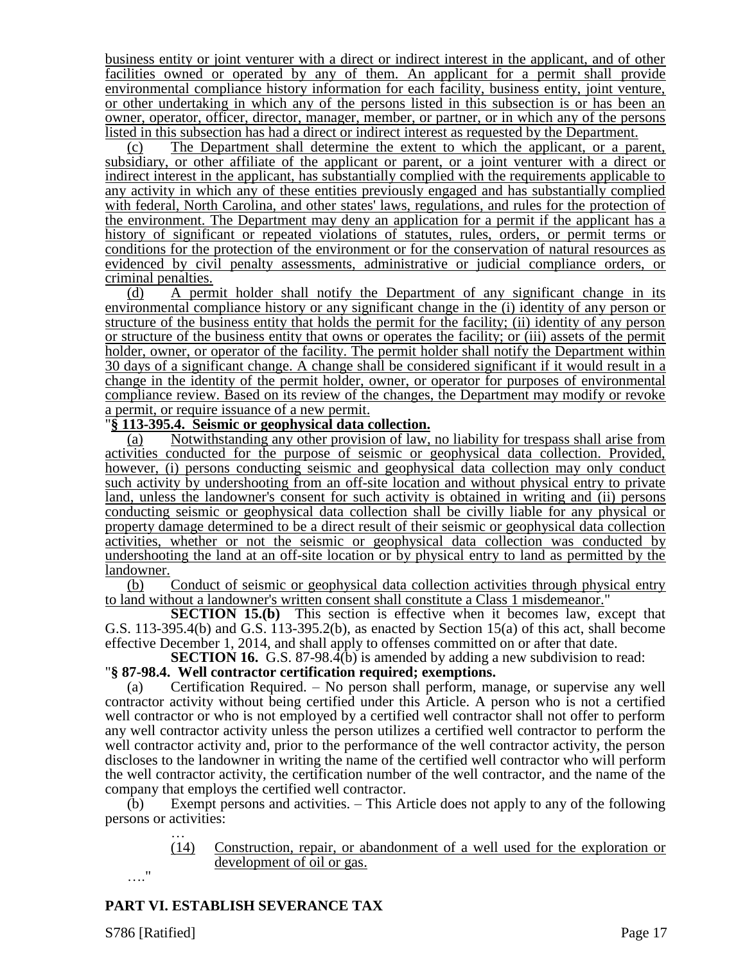business entity or joint venturer with a direct or indirect interest in the applicant, and of other facilities owned or operated by any of them. An applicant for a permit shall provide environmental compliance history information for each facility, business entity, joint venture, or other undertaking in which any of the persons listed in this subsection is or has been an owner, operator, officer, director, manager, member, or partner, or in which any of the persons listed in this subsection has had a direct or indirect interest as requested by the Department.

The Department shall determine the extent to which the applicant, or a parent, subsidiary, or other affiliate of the applicant or parent, or a joint venturer with a direct or indirect interest in the applicant, has substantially complied with the requirements applicable to any activity in which any of these entities previously engaged and has substantially complied with federal, North Carolina, and other states' laws, regulations, and rules for the protection of the environment. The Department may deny an application for a permit if the applicant has a history of significant or repeated violations of statutes, rules, orders, or permit terms or conditions for the protection of the environment or for the conservation of natural resources as evidenced by civil penalty assessments, administrative or judicial compliance orders, or criminal penalties.

(d) A permit holder shall notify the Department of any significant change in its environmental compliance history or any significant change in the (i) identity of any person or structure of the business entity that holds the permit for the facility; (ii) identity of any person or structure of the business entity that owns or operates the facility; or (iii) assets of the permit holder, owner, or operator of the facility. The permit holder shall notify the Department within 30 days of a significant change. A change shall be considered significant if it would result in a change in the identity of the permit holder, owner, or operator for purposes of environmental compliance review. Based on its review of the changes, the Department may modify or revoke a permit, or require issuance of a new permit.

#### "**§ 113-395.4. Seismic or geophysical data collection.**

(a) Notwithstanding any other provision of law, no liability for trespass shall arise from activities conducted for the purpose of seismic or geophysical data collection. Provided, however, (i) persons conducting seismic and geophysical data collection may only conduct such activity by undershooting from an off-site location and without physical entry to private land, unless the landowner's consent for such activity is obtained in writing and (ii) persons conducting seismic or geophysical data collection shall be civilly liable for any physical or property damage determined to be a direct result of their seismic or geophysical data collection activities, whether or not the seismic or geophysical data collection was conducted by undershooting the land at an off-site location or by physical entry to land as permitted by the landowner.

(b) Conduct of seismic or geophysical data collection activities through physical entry to land without a landowner's written consent shall constitute a Class 1 misdemeanor."

**SECTION 15.(b)** This section is effective when it becomes law, except that G.S. 113-395.4(b) and G.S. 113-395.2(b), as enacted by Section 15(a) of this act, shall become effective December 1, 2014, and shall apply to offenses committed on or after that date.

**SECTION 16.** G.S. 87-98.4(b) is amended by adding a new subdivision to read:

# "**§ 87-98.4. Well contractor certification required; exemptions.**

Certification Required. – No person shall perform, manage, or supervise any well contractor activity without being certified under this Article. A person who is not a certified well contractor or who is not employed by a certified well contractor shall not offer to perform any well contractor activity unless the person utilizes a certified well contractor to perform the well contractor activity and, prior to the performance of the well contractor activity, the person discloses to the landowner in writing the name of the certified well contractor who will perform the well contractor activity, the certification number of the well contractor, and the name of the company that employs the certified well contractor.

(b) Exempt persons and activities. – This Article does not apply to any of the following persons or activities: …

> (14) Construction, repair, or abandonment of a well used for the exploration or development of oil or gas.

# **PART VI. ESTABLISH SEVERANCE TAX**

…."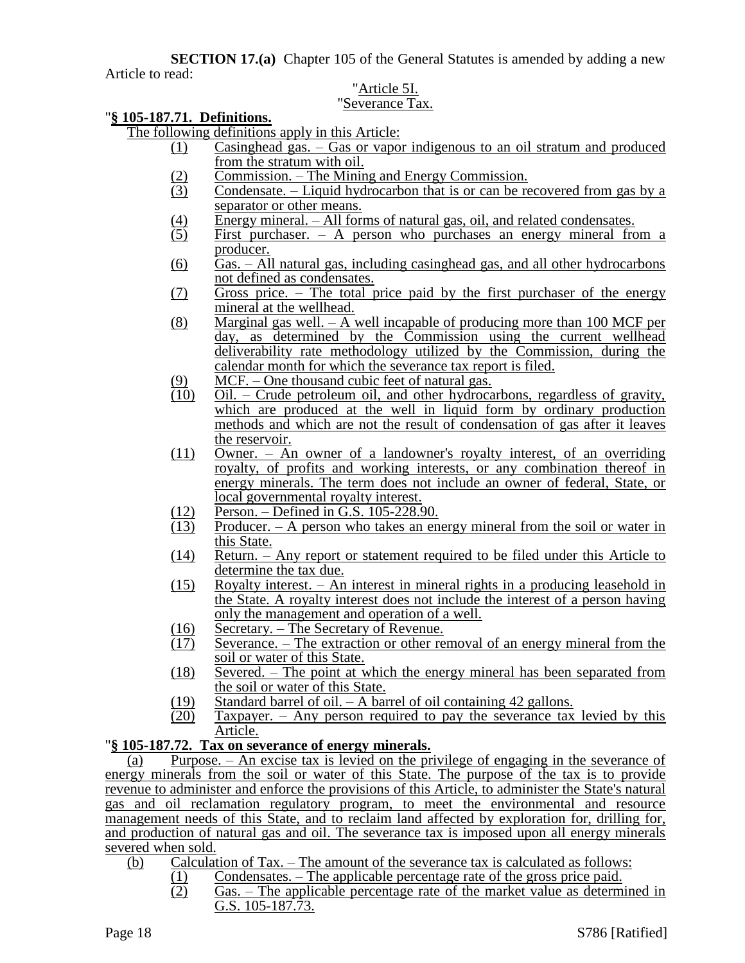**SECTION 17.(a)** Chapter 105 of the General Statutes is amended by adding a new Article to read:

# "Article 5I.

# "Severance Tax.

# "**§ 105-187.71. Definitions.**

The following definitions apply in this Article:

- (1) Casinghead gas. Gas or vapor indigenous to an oil stratum and produced from the stratum with oil.
	-
- (2) Commission. The Mining and Energy Commission.<br>
Condensate. Liquid hydrocarbon that is or can be re Condensate. – Liquid hydrocarbon that is or can be recovered from gas by a separator or other means.
- (4) Energy mineral. All forms of natural gas, oil, and related condensates.<br>
(5) First purchaser. A person who purchases an energy mineral from
- First purchaser. A person who purchases an energy mineral from a producer.
- (6) Gas. All natural gas, including casinghead gas, and all other hydrocarbons not defined as condensates.
- (7) Gross price. The total price paid by the first purchaser of the energy mineral at the wellhead.
- (8) Marginal gas well. A well incapable of producing more than 100 MCF per day, as determined by the Commission using the current wellhead deliverability rate methodology utilized by the Commission, during the calendar month for which the severance tax report is filed.
- $\underline{(9)}$  MCF. One thousand cubic feet of natural gas.<br>(10) Oil. Crude petroleum oil, and other hydrocal
- (10) Oil. Crude petroleum oil, and other hydrocarbons, regardless of gravity, which are produced at the well in liquid form by ordinary production methods and which are not the result of condensation of gas after it leaves the reservoir.
- (11) Owner. An owner of a landowner's royalty interest, of an overriding royalty, of profits and working interests, or any combination thereof in energy minerals. The term does not include an owner of federal, State, or local governmental royalty interest.
- (12) Person. Defined in G.S. 105-228.90.
- (13) Producer. A person who takes an energy mineral from the soil or water in this State.
- (14) Return. Any report or statement required to be filed under this Article to determine the tax due.
- (15) Royalty interest. An interest in mineral rights in a producing leasehold in the State. A royalty interest does not include the interest of a person having only the management and operation of a well.
- $\frac{(16)}{(17)}$  Secretary. The Secretary of Revenue.<br>(17) Severance. The extraction or other re
- Severance. The extraction or other removal of an energy mineral from the soil or water of this State.
- (18) Severed. The point at which the energy mineral has been separated from the soil or water of this State.
- (19) Standard barrel of oil. A barrel of oil containing 42 gallons.
- $(20)$  Taxpayer. Any person required to pay the severance tax levied by this Article.

# "**§ 105-187.72. Tax on severance of energy minerals.**

(a) Purpose. – An excise tax is levied on the privilege of engaging in the severance of energy minerals from the soil or water of this State. The purpose of the tax is to provide revenue to administer and enforce the provisions of this Article, to administer the State's natural gas and oil reclamation regulatory program, to meet the environmental and resource management needs of this State, and to reclaim land affected by exploration for, drilling for, and production of natural gas and oil. The severance tax is imposed upon all energy minerals severed when sold.

- (b) Calculation of Tax. The amount of the severance tax is calculated as follows:
	- (1) Condensates. The applicable percentage rate of the gross price paid.
		- (2) Gas. The applicable percentage rate of the market value as determined in G.S. 105-187.73.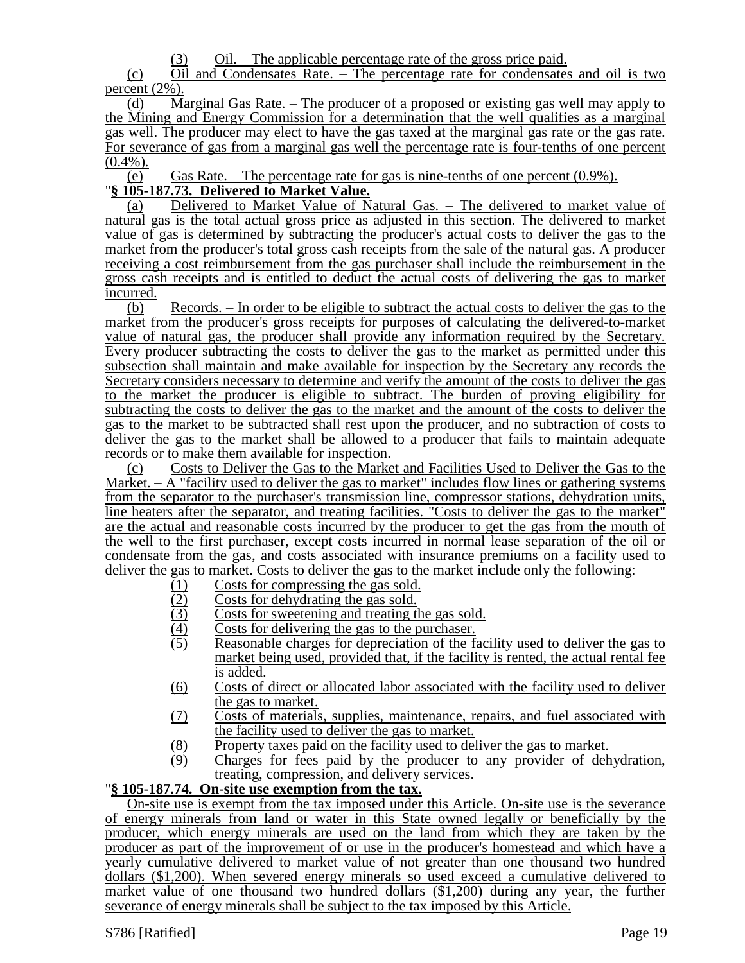(3) Oil. – The applicable percentage rate of the gross price paid.

(c) Oil and Condensates Rate. – The percentage rate for condensates and oil is two percent (2%).

(d) Marginal Gas Rate. – The producer of a proposed or existing gas well may apply to the Mining and Energy Commission for a determination that the well qualifies as a marginal gas well. The producer may elect to have the gas taxed at the marginal gas rate or the gas rate. For severance of gas from a marginal gas well the percentage rate is four-tenths of one percent  $(0.4\%)$ .

(e) Gas Rate. – The percentage rate for gas is nine-tenths of one percent  $(0.9\%)$ . "**§ 105-187.73. Delivered to Market Value.**

(a) Delivered to Market Value of Natural Gas. – The delivered to market value of natural gas is the total actual gross price as adjusted in this section. The delivered to market value of gas is determined by subtracting the producer's actual costs to deliver the gas to the market from the producer's total gross cash receipts from the sale of the natural gas. A producer receiving a cost reimbursement from the gas purchaser shall include the reimbursement in the gross cash receipts and is entitled to deduct the actual costs of delivering the gas to market incurred.

(b) Records. – In order to be eligible to subtract the actual costs to deliver the gas to the market from the producer's gross receipts for purposes of calculating the delivered-to-market value of natural gas, the producer shall provide any information required by the Secretary. Every producer subtracting the costs to deliver the gas to the market as permitted under this subsection shall maintain and make available for inspection by the Secretary any records the Secretary considers necessary to determine and verify the amount of the costs to deliver the gas to the market the producer is eligible to subtract. The burden of proving eligibility for subtracting the costs to deliver the gas to the market and the amount of the costs to deliver the gas to the market to be subtracted shall rest upon the producer, and no subtraction of costs to deliver the gas to the market shall be allowed to a producer that fails to maintain adequate records or to make them available for inspection.

(c) Costs to Deliver the Gas to the Market and Facilities Used to Deliver the Gas to the Market.  $- A$  "facility used to deliver the gas to market" includes flow lines or gathering systems from the separator to the purchaser's transmission line, compressor stations, dehydration units, line heaters after the separator, and treating facilities. "Costs to deliver the gas to the market" are the actual and reasonable costs incurred by the producer to get the gas from the mouth of the well to the first purchaser, except costs incurred in normal lease separation of the oil or condensate from the gas, and costs associated with insurance premiums on a facility used to deliver the gas to market. Costs to deliver the gas to the market include only the following:

- 
- Costs for dehydrating the gas sold.
- (1) Costs for compressing the gas sold.<br>
(2) Costs for dehydrating the gas sold.<br>
(3) Costs for sweetening and treating the (3) Costs for sweetening and treating the gas sold.<br>
(4) Costs for delivering the gas to the purchaser.
- $\frac{(4)}{(5)}$  Costs for delivering the gas to the purchaser.<br>
Reasonable charges for depreciation of the fa
- Reasonable charges for depreciation of the facility used to deliver the gas to market being used, provided that, if the facility is rented, the actual rental fee is added.
- (6) Costs of direct or allocated labor associated with the facility used to deliver the gas to market.
- (7) Costs of materials, supplies, maintenance, repairs, and fuel associated with the facility used to deliver the gas to market.
- (8) Property taxes paid on the facility used to deliver the gas to market.
- (9) Charges for fees paid by the producer to any provider of dehydration, treating, compression, and delivery services.

#### "**§ 105-187.74. On-site use exemption from the tax.**

On-site use is exempt from the tax imposed under this Article. On-site use is the severance of energy minerals from land or water in this State owned legally or beneficially by the producer, which energy minerals are used on the land from which they are taken by the producer as part of the improvement of or use in the producer's homestead and which have a yearly cumulative delivered to market value of not greater than one thousand two hundred dollars (\$1,200). When severed energy minerals so used exceed a cumulative delivered to market value of one thousand two hundred dollars (\$1,200) during any year, the further severance of energy minerals shall be subject to the tax imposed by this Article.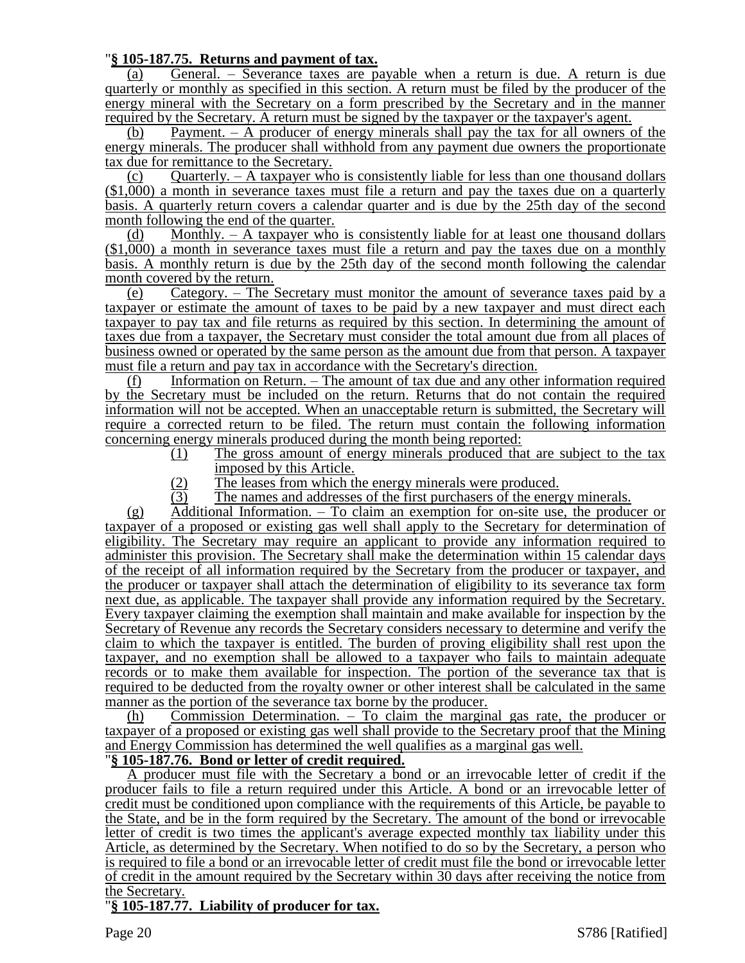## "**§ 105-187.75. Returns and payment of tax.**

(a) General. – Severance taxes are payable when a return is due. A return is due quarterly or monthly as specified in this section. A return must be filed by the producer of the energy mineral with the Secretary on a form prescribed by the Secretary and in the manner required by the Secretary. A return must be signed by the taxpayer or the taxpayer's agent.

(b) Payment. – A producer of energy minerals shall pay the tax for all owners of the energy minerals. The producer shall withhold from any payment due owners the proportionate tax due for remittance to the Secretary.

(c) Ouarterly.  $- A$  taxpayer who is consistently liable for less than one thousand dollars (\$1,000) a month in severance taxes must file a return and pay the taxes due on a quarterly basis. A quarterly return covers a calendar quarter and is due by the 25th day of the second month following the end of the quarter.

(d) Monthly. – A taxpayer who is consistently liable for at least one thousand dollars (\$1,000) a month in severance taxes must file a return and pay the taxes due on a monthly basis. A monthly return is due by the 25th day of the second month following the calendar month covered by the return.

(e) Category. – The Secretary must monitor the amount of severance taxes paid by a taxpayer or estimate the amount of taxes to be paid by a new taxpayer and must direct each taxpayer to pay tax and file returns as required by this section. In determining the amount of taxes due from a taxpayer, the Secretary must consider the total amount due from all places of business owned or operated by the same person as the amount due from that person. A taxpayer must file a return and pay tax in accordance with the Secretary's direction.

(f) Information on Return. – The amount of tax due and any other information required by the Secretary must be included on the return. Returns that do not contain the required information will not be accepted. When an unacceptable return is submitted, the Secretary will require a corrected return to be filed. The return must contain the following information concerning energy minerals produced during the month being reported:

- (1) The gross amount of energy minerals produced that are subject to the tax imposed by this Article.
- $\frac{12}{13}$  The leases from which the energy minerals were produced.<br>The names and addresses of the first purchasers of the energy
- The names and addresses of the first purchasers of the energy minerals.

(g) Additional Information. – To claim an exemption for on-site use, the producer or taxpayer of a proposed or existing gas well shall apply to the Secretary for determination of eligibility. The Secretary may require an applicant to provide any information required to administer this provision. The Secretary shall make the determination within 15 calendar days of the receipt of all information required by the Secretary from the producer or taxpayer, and the producer or taxpayer shall attach the determination of eligibility to its severance tax form next due, as applicable. The taxpayer shall provide any information required by the Secretary. Every taxpayer claiming the exemption shall maintain and make available for inspection by the Secretary of Revenue any records the Secretary considers necessary to determine and verify the claim to which the taxpayer is entitled. The burden of proving eligibility shall rest upon the taxpayer, and no exemption shall be allowed to a taxpayer who fails to maintain adequate records or to make them available for inspection. The portion of the severance tax that is required to be deducted from the royalty owner or other interest shall be calculated in the same manner as the portion of the severance tax borne by the producer.

(h) Commission Determination. – To claim the marginal gas rate, the producer or taxpayer of a proposed or existing gas well shall provide to the Secretary proof that the Mining and Energy Commission has determined the well qualifies as a marginal gas well.

#### "**§ 105-187.76. Bond or letter of credit required.**

A producer must file with the Secretary a bond or an irrevocable letter of credit if the producer fails to file a return required under this Article. A bond or an irrevocable letter of credit must be conditioned upon compliance with the requirements of this Article, be payable to the State, and be in the form required by the Secretary. The amount of the bond or irrevocable letter of credit is two times the applicant's average expected monthly tax liability under this Article, as determined by the Secretary. When notified to do so by the Secretary, a person who is required to file a bond or an irrevocable letter of credit must file the bond or irrevocable letter of credit in the amount required by the Secretary within 30 days after receiving the notice from the Secretary.

# "**§ 105-187.77. Liability of producer for tax.**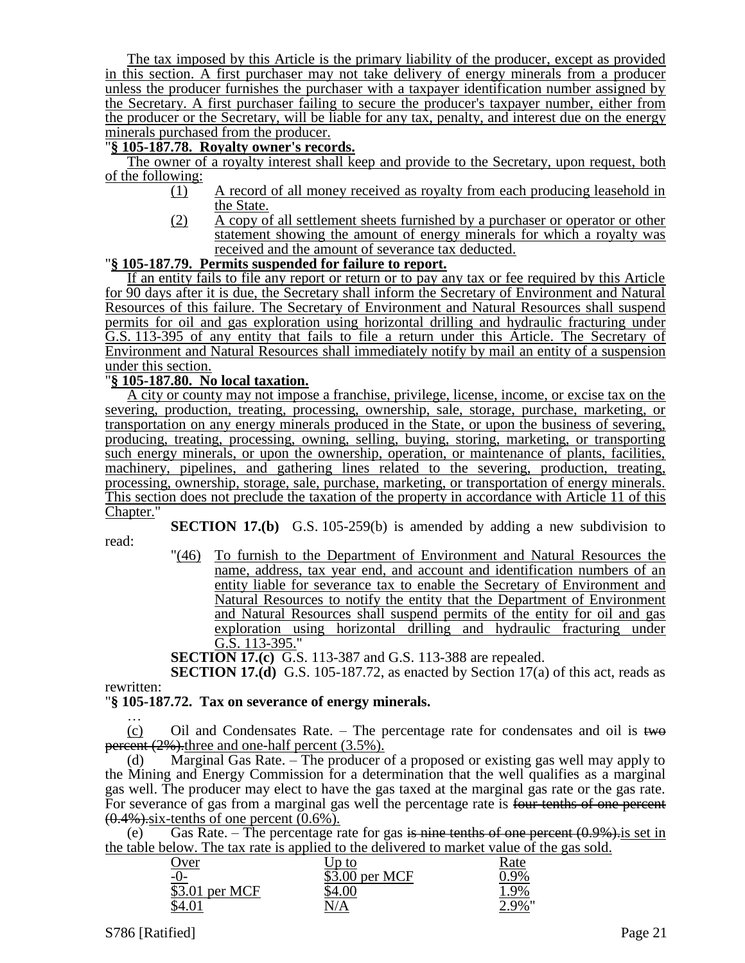The tax imposed by this Article is the primary liability of the producer, except as provided in this section. A first purchaser may not take delivery of energy minerals from a producer unless the producer furnishes the purchaser with a taxpayer identification number assigned by the Secretary. A first purchaser failing to secure the producer's taxpayer number, either from the producer or the Secretary, will be liable for any tax, penalty, and interest due on the energy minerals purchased from the producer.

# "**§ 105-187.78. Royalty owner's records.**

The owner of a royalty interest shall keep and provide to the Secretary, upon request, both of the following:

- (1) A record of all money received as royalty from each producing leasehold in the State.
- (2) A copy of all settlement sheets furnished by a purchaser or operator or other statement showing the amount of energy minerals for which a royalty was received and the amount of severance tax deducted.

## "**§ 105-187.79. Permits suspended for failure to report.**

If an entity fails to file any report or return or to pay any tax or fee required by this Article for 90 days after it is due, the Secretary shall inform the Secretary of Environment and Natural Resources of this failure. The Secretary of Environment and Natural Resources shall suspend permits for oil and gas exploration using horizontal drilling and hydraulic fracturing under G.S. 113-395 of any entity that fails to file a return under this Article. The Secretary of Environment and Natural Resources shall immediately notify by mail an entity of a suspension under this section.

## "**§ 105-187.80. No local taxation.**

A city or county may not impose a franchise, privilege, license, income, or excise tax on the severing, production, treating, processing, ownership, sale, storage, purchase, marketing, or transportation on any energy minerals produced in the State, or upon the business of severing, producing, treating, processing, owning, selling, buying, storing, marketing, or transporting such energy minerals, or upon the ownership, operation, or maintenance of plants, facilities, machinery, pipelines, and gathering lines related to the severing, production, treating, processing, ownership, storage, sale, purchase, marketing, or transportation of energy minerals. This section does not preclude the taxation of the property in accordance with Article 11 of this Chapter."

**SECTION 17.(b)** G.S. 105-259(b) is amended by adding a new subdivision to

read:

"(46) To furnish to the Department of Environment and Natural Resources the name, address, tax year end, and account and identification numbers of an entity liable for severance tax to enable the Secretary of Environment and Natural Resources to notify the entity that the Department of Environment and Natural Resources shall suspend permits of the entity for oil and gas exploration using horizontal drilling and hydraulic fracturing under G.S. 113-395."

**SECTION 17.(c)** G.S. 113-387 and G.S. 113-388 are repealed.

**SECTION 17.(d)** G.S. 105-187.72, as enacted by Section 17(a) of this act, reads as rewritten:

#### "**§ 105-187.72. Tax on severance of energy minerals.**

… (c) Oil and Condensates Rate.  $-$  The percentage rate for condensates and oil is two percent  $(2\%)$ , three and one-half percent  $(3.5\%)$ .

(d) Marginal Gas Rate. – The producer of a proposed or existing gas well may apply to the Mining and Energy Commission for a determination that the well qualifies as a marginal gas well. The producer may elect to have the gas taxed at the marginal gas rate or the gas rate. For severance of gas from a marginal gas well the percentage rate is four-tenths of one percent  $(0.4\%)$  six-tenths of one percent  $(0.6\%)$ .

(e) Gas Rate. – The percentage rate for gas is nine tenths of one percent  $(0.9\%)$  is set in the table below. The tax rate is applied to the delivered to market value of the gas sold.

| <u>)ver</u>    | $\lceil \cdot \rceil$ to | Kate  |
|----------------|--------------------------|-------|
| <u>-0-</u>     | \$3.00 per MCF           | 7.9%  |
| \$3.01 per MCF |                          | 1.9%  |
| \$4.01         | N/A                      | 2.9%" |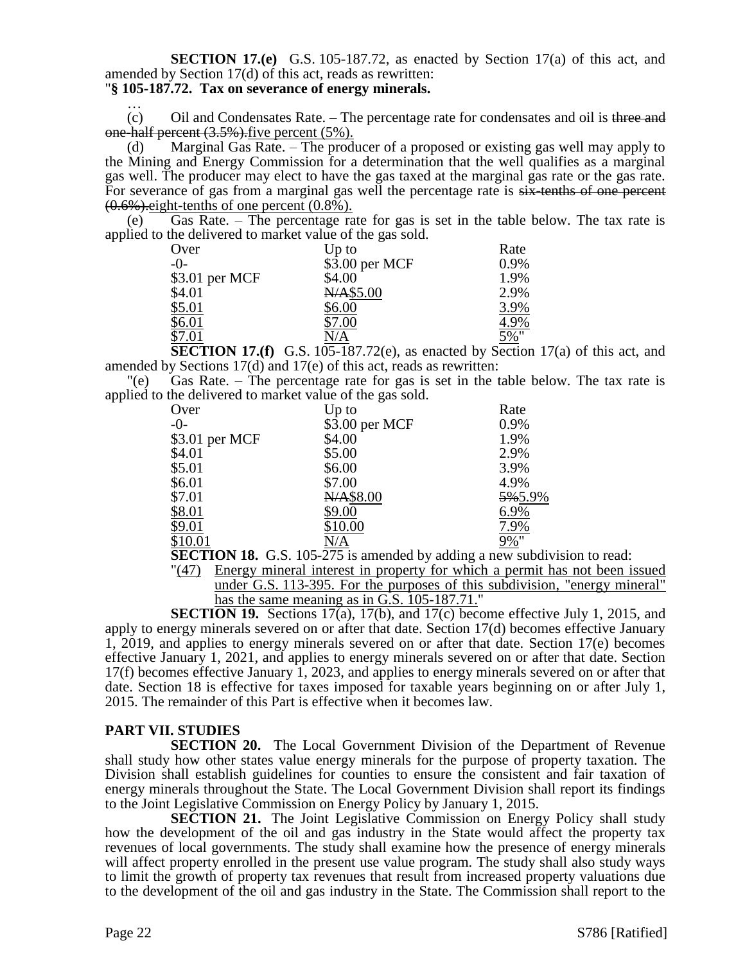# **SECTION 17.(e)** G.S. 105-187.72, as enacted by Section 17(a) of this act, and amended by Section 17(d) of this act, reads as rewritten:

#### "**§ 105-187.72. Tax on severance of energy minerals.** …

(c) Oil and Condensates Rate. – The percentage rate for condensates and oil is three and one-half percent  $(3.5\%)$  five percent  $(5\%)$ .

(d) Marginal Gas Rate. – The producer of a proposed or existing gas well may apply to the Mining and Energy Commission for a determination that the well qualifies as a marginal gas well. The producer may elect to have the gas taxed at the marginal gas rate or the gas rate. For severance of gas from a marginal gas well the percentage rate is  $s$ ix-tenths of one percent  $(0.6\%)$ . eight-tenths of one percent  $(0.8\%)$ .

(e) Gas Rate. – The percentage rate for gas is set in the table below. The tax rate is applied to the delivered to market value of the gas sold.

|                | $\cdots$ went allow to inference accurate of the get bolder |      |
|----------------|-------------------------------------------------------------|------|
| Over           | $Up$ to                                                     | Rate |
| $-()$          | \$3.00 per MCF                                              | 0.9% |
| \$3.01 per MCF | \$4.00                                                      | 1.9% |
| \$4.01         | N/A\$5.00                                                   | 2.9% |
| \$5.01         | \$6.00                                                      | 3.9% |
| \$6.01         | \$7.00                                                      | 4.9% |
| \$7.01         | N/A                                                         | 5%"  |
|                |                                                             |      |

**SECTION 17.(f)** G.S. 105-187.72(e), as enacted by Section 17(a) of this act, and amended by Sections 17(d) and 17(e) of this act, reads as rewritten:

"(e) Gas Rate. – The percentage rate for gas is set in the table below. The tax rate is applied to the delivered to market value of the gas sold.

| Over           | $Up$ to        | Rate       |
|----------------|----------------|------------|
| $-0-$          | \$3.00 per MCF | 0.9%       |
| \$3.01 per MCF | \$4.00         | 1.9%       |
| \$4.01         | \$5.00         | 2.9%       |
| \$5.01         | \$6.00         | 3.9%       |
| \$6.01         | \$7.00         | 4.9%       |
| \$7.01         | N/A\$8.00      | 5%5.9%     |
| \$8.01         | \$9.00         | 6.9%       |
| \$9.01         | \$10.00        | 7.9%       |
| \$10.01        | N/A            | <u>9%"</u> |

**SECTION 18.** G.S. 105-275 is amended by adding a new subdivision to read:

"(47) Energy mineral interest in property for which a permit has not been issued under G.S. 113-395. For the purposes of this subdivision, "energy mineral" has the same meaning as in G.S. 105-187.71."

**SECTION 19.** Sections 17(a), 17(b), and 17(c) become effective July 1, 2015, and apply to energy minerals severed on or after that date. Section 17(d) becomes effective January 1, 2019, and applies to energy minerals severed on or after that date. Section 17(e) becomes effective January 1, 2021, and applies to energy minerals severed on or after that date. Section 17(f) becomes effective January 1, 2023, and applies to energy minerals severed on or after that date. Section 18 is effective for taxes imposed for taxable years beginning on or after July 1, 2015. The remainder of this Part is effective when it becomes law.

# **PART VII. STUDIES**

**SECTION 20.** The Local Government Division of the Department of Revenue shall study how other states value energy minerals for the purpose of property taxation. The Division shall establish guidelines for counties to ensure the consistent and fair taxation of energy minerals throughout the State. The Local Government Division shall report its findings to the Joint Legislative Commission on Energy Policy by January 1, 2015.

**SECTION 21.** The Joint Legislative Commission on Energy Policy shall study how the development of the oil and gas industry in the State would affect the property tax revenues of local governments. The study shall examine how the presence of energy minerals will affect property enrolled in the present use value program. The study shall also study ways to limit the growth of property tax revenues that result from increased property valuations due to the development of the oil and gas industry in the State. The Commission shall report to the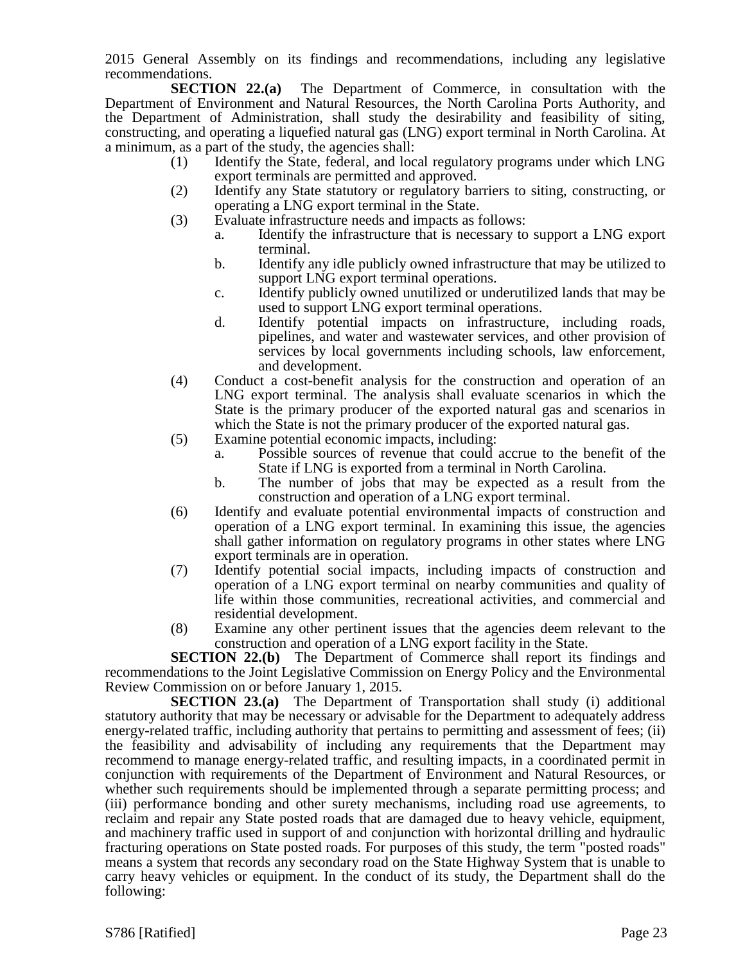2015 General Assembly on its findings and recommendations, including any legislative recommendations.

**SECTION 22.(a)** The Department of Commerce, in consultation with the Department of Environment and Natural Resources, the North Carolina Ports Authority, and the Department of Administration, shall study the desirability and feasibility of siting, constructing, and operating a liquefied natural gas (LNG) export terminal in North Carolina. At a minimum, as a part of the study, the agencies shall:

- (1) Identify the State, federal, and local regulatory programs under which LNG export terminals are permitted and approved.
- (2) Identify any State statutory or regulatory barriers to siting, constructing, or operating a LNG export terminal in the State.
- (3) Evaluate infrastructure needs and impacts as follows:
	- a. Identify the infrastructure that is necessary to support a LNG export terminal.
	- b. Identify any idle publicly owned infrastructure that may be utilized to support LNG export terminal operations.
	- c. Identify publicly owned unutilized or underutilized lands that may be used to support LNG export terminal operations.
	- d. Identify potential impacts on infrastructure, including roads, pipelines, and water and wastewater services, and other provision of services by local governments including schools, law enforcement, and development.
- (4) Conduct a cost-benefit analysis for the construction and operation of an LNG export terminal. The analysis shall evaluate scenarios in which the State is the primary producer of the exported natural gas and scenarios in which the State is not the primary producer of the exported natural gas.
- (5) Examine potential economic impacts, including:
	- a. Possible sources of revenue that could accrue to the benefit of the State if LNG is exported from a terminal in North Carolina.
	- b. The number of jobs that may be expected as a result from the construction and operation of a LNG export terminal.
- (6) Identify and evaluate potential environmental impacts of construction and operation of a LNG export terminal. In examining this issue, the agencies shall gather information on regulatory programs in other states where LNG export terminals are in operation.
- (7) Identify potential social impacts, including impacts of construction and operation of a LNG export terminal on nearby communities and quality of life within those communities, recreational activities, and commercial and residential development.
- (8) Examine any other pertinent issues that the agencies deem relevant to the construction and operation of a LNG export facility in the State.

**SECTION 22.(b)** The Department of Commerce shall report its findings and recommendations to the Joint Legislative Commission on Energy Policy and the Environmental Review Commission on or before January 1, 2015.

**SECTION 23.(a)** The Department of Transportation shall study (i) additional statutory authority that may be necessary or advisable for the Department to adequately address energy-related traffic, including authority that pertains to permitting and assessment of fees; (ii) the feasibility and advisability of including any requirements that the Department may recommend to manage energy-related traffic, and resulting impacts, in a coordinated permit in conjunction with requirements of the Department of Environment and Natural Resources, or whether such requirements should be implemented through a separate permitting process; and (iii) performance bonding and other surety mechanisms, including road use agreements, to reclaim and repair any State posted roads that are damaged due to heavy vehicle, equipment, and machinery traffic used in support of and conjunction with horizontal drilling and hydraulic fracturing operations on State posted roads. For purposes of this study, the term "posted roads" means a system that records any secondary road on the State Highway System that is unable to carry heavy vehicles or equipment. In the conduct of its study, the Department shall do the following: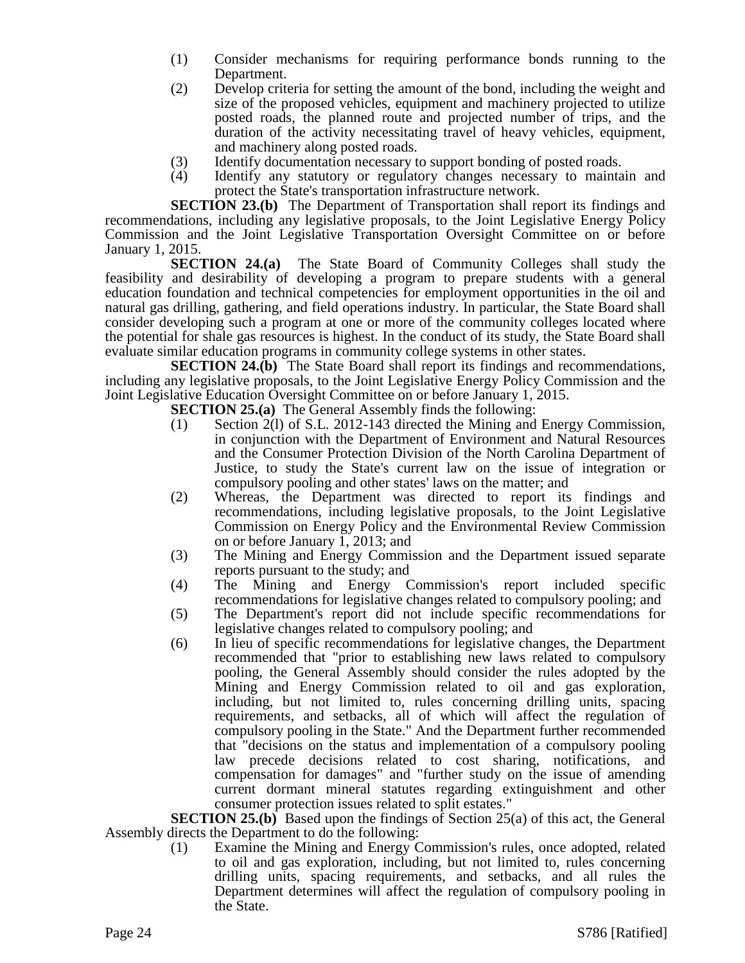- (1) Consider mechanisms for requiring performance bonds running to the Department.
- (2) Develop criteria for setting the amount of the bond, including the weight and size of the proposed vehicles, equipment and machinery projected to utilize posted roads, the planned route and projected number of trips, and the duration of the activity necessitating travel of heavy vehicles, equipment, and machinery along posted roads.
- (3) Identify documentation necessary to support bonding of posted roads.
- (4) Identify any statutory or regulatory changes necessary to maintain and protect the State's transportation infrastructure network.

**SECTION 23.(b)** The Department of Transportation shall report its findings and recommendations, including any legislative proposals, to the Joint Legislative Energy Policy Commission and the Joint Legislative Transportation Oversight Committee on or before January 1, 2015.

**SECTION 24.(a)** The State Board of Community Colleges shall study the feasibility and desirability of developing a program to prepare students with a general education foundation and technical competencies for employment opportunities in the oil and natural gas drilling, gathering, and field operations industry. In particular, the State Board shall consider developing such a program at one or more of the community colleges located where the potential for shale gas resources is highest. In the conduct of its study, the State Board shall evaluate similar education programs in community college systems in other states.

**SECTION 24.(b)** The State Board shall report its findings and recommendations, including any legislative proposals, to the Joint Legislative Energy Policy Commission and the Joint Legislative Education Oversight Committee on or before January 1, 2015.

**SECTION 25.(a)** The General Assembly finds the following:

- (1) Section 2(l) of S.L. 2012-143 directed the Mining and Energy Commission, in conjunction with the Department of Environment and Natural Resources and the Consumer Protection Division of the North Carolina Department of Justice, to study the State's current law on the issue of integration or compulsory pooling and other states' laws on the matter; and
- (2) Whereas, the Department was directed to report its findings and recommendations, including legislative proposals, to the Joint Legislative Commission on Energy Policy and the Environmental Review Commission on or before January 1, 2013; and
- (3) The Mining and Energy Commission and the Department issued separate reports pursuant to the study; and
- (4) The Mining and Energy Commission's report included specific recommendations for legislative changes related to compulsory pooling; and
- (5) The Department's report did not include specific recommendations for legislative changes related to compulsory pooling; and
- (6) In lieu of specific recommendations for legislative changes, the Department recommended that "prior to establishing new laws related to compulsory pooling, the General Assembly should consider the rules adopted by the Mining and Energy Commission related to oil and gas exploration, including, but not limited to, rules concerning drilling units, spacing requirements, and setbacks, all of which will affect the regulation of compulsory pooling in the State." And the Department further recommended that "decisions on the status and implementation of a compulsory pooling law precede decisions related to cost sharing, notifications, and compensation for damages" and "further study on the issue of amending current dormant mineral statutes regarding extinguishment and other consumer protection issues related to split estates."

**SECTION 25.(b)** Based upon the findings of Section 25(a) of this act, the General Assembly directs the Department to do the following:

(1) Examine the Mining and Energy Commission's rules, once adopted, related to oil and gas exploration, including, but not limited to, rules concerning drilling units, spacing requirements, and setbacks, and all rules the Department determines will affect the regulation of compulsory pooling in the State.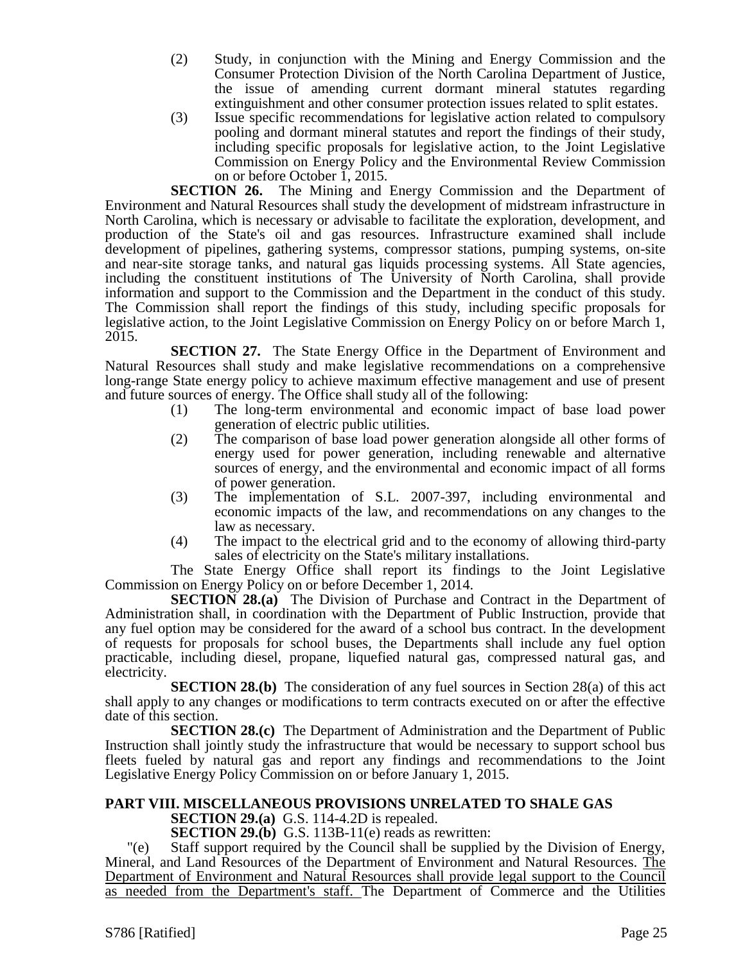- (2) Study, in conjunction with the Mining and Energy Commission and the Consumer Protection Division of the North Carolina Department of Justice, the issue of amending current dormant mineral statutes regarding extinguishment and other consumer protection issues related to split estates.
- (3) Issue specific recommendations for legislative action related to compulsory pooling and dormant mineral statutes and report the findings of their study, including specific proposals for legislative action, to the Joint Legislative Commission on Energy Policy and the Environmental Review Commission on or before October 1, 2015.

**SECTION 26.** The Mining and Energy Commission and the Department of Environment and Natural Resources shall study the development of midstream infrastructure in North Carolina, which is necessary or advisable to facilitate the exploration, development, and production of the State's oil and gas resources. Infrastructure examined shall include development of pipelines, gathering systems, compressor stations, pumping systems, on-site and near-site storage tanks, and natural gas liquids processing systems. All State agencies, including the constituent institutions of The University of North Carolina, shall provide information and support to the Commission and the Department in the conduct of this study. The Commission shall report the findings of this study, including specific proposals for legislative action, to the Joint Legislative Commission on Energy Policy on or before March 1, 2015.

**SECTION 27.** The State Energy Office in the Department of Environment and Natural Resources shall study and make legislative recommendations on a comprehensive long-range State energy policy to achieve maximum effective management and use of present and future sources of energy. The Office shall study all of the following:

- (1) The long-term environmental and economic impact of base load power generation of electric public utilities.
- (2) The comparison of base load power generation alongside all other forms of energy used for power generation, including renewable and alternative sources of energy, and the environmental and economic impact of all forms of power generation.
- (3) The implementation of S.L. 2007-397, including environmental and economic impacts of the law, and recommendations on any changes to the law as necessary.
- (4) The impact to the electrical grid and to the economy of allowing third-party sales of electricity on the State's military installations.

The State Energy Office shall report its findings to the Joint Legislative Commission on Energy Policy on or before December 1, 2014.

**SECTION 28.(a)** The Division of Purchase and Contract in the Department of Administration shall, in coordination with the Department of Public Instruction, provide that any fuel option may be considered for the award of a school bus contract. In the development of requests for proposals for school buses, the Departments shall include any fuel option practicable, including diesel, propane, liquefied natural gas, compressed natural gas, and electricity.

**SECTION 28.(b)** The consideration of any fuel sources in Section 28(a) of this act shall apply to any changes or modifications to term contracts executed on or after the effective date of this section.

**SECTION 28.(c)** The Department of Administration and the Department of Public Instruction shall jointly study the infrastructure that would be necessary to support school bus fleets fueled by natural gas and report any findings and recommendations to the Joint Legislative Energy Policy Commission on or before January 1, 2015.

# **PART VIII. MISCELLANEOUS PROVISIONS UNRELATED TO SHALE GAS**

**SECTION 29.(a)** G.S. 114-4.2D is repealed.

**SECTION 29.(b)** G.S. 113B-11(e) reads as rewritten:

"(e) Staff support required by the Council shall be supplied by the Division of Energy, Mineral, and Land Resources of the Department of Environment and Natural Resources. The Department of Environment and Natural Resources shall provide legal support to the Council as needed from the Department's staff. The Department of Commerce and the Utilities